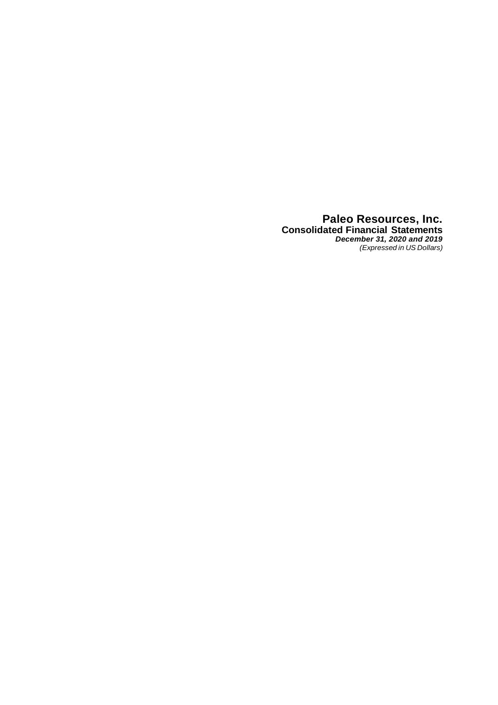# **Paleo Resources, Inc. Consolidated Financial Statements** *December 31, 2020 and 2019 (Expressed in US Dollars)*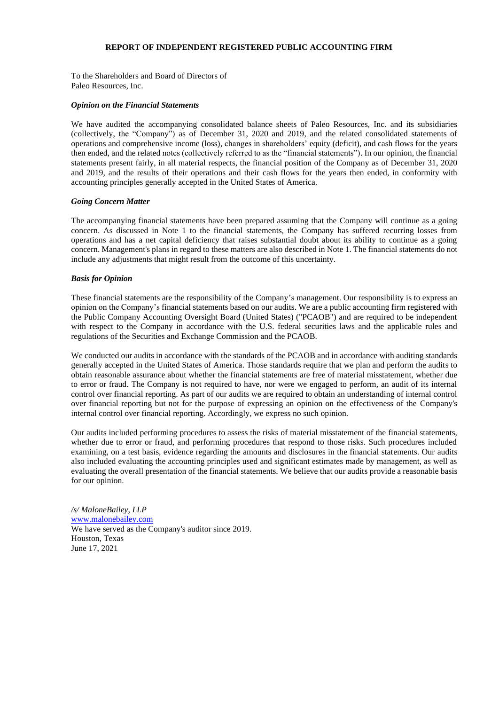# **REPORT OF INDEPENDENT REGISTERED PUBLIC ACCOUNTING FIRM**

To the Shareholders and Board of Directors of Paleo Resources, Inc.

# *Opinion on the Financial Statements*

We have audited the accompanying consolidated balance sheets of Paleo Resources, Inc. and its subsidiaries (collectively, the "Company") as of December 31, 2020 and 2019, and the related consolidated statements of operations and comprehensive income (loss), changes in shareholders' equity (deficit), and cash flows for the years then ended, and the related notes (collectively referred to as the "financial statements"). In our opinion, the financial statements present fairly, in all material respects, the financial position of the Company as of December 31, 2020 and 2019, and the results of their operations and their cash flows for the years then ended, in conformity with accounting principles generally accepted in the United States of America.

#### *Going Concern Matter*

The accompanying financial statements have been prepared assuming that the Company will continue as a going concern. As discussed in Note 1 to the financial statements, the Company has suffered recurring losses from operations and has a net capital deficiency that raises substantial doubt about its ability to continue as a going concern. Management's plans in regard to these matters are also described in Note 1. The financial statements do not include any adjustments that might result from the outcome of this uncertainty.

# *Basis for Opinion*

These financial statements are the responsibility of the Company's management. Our responsibility is to express an opinion on the Company's financial statements based on our audits. We are a public accounting firm registered with the Public Company Accounting Oversight Board (United States) ("PCAOB") and are required to be independent with respect to the Company in accordance with the U.S. federal securities laws and the applicable rules and regulations of the Securities and Exchange Commission and the PCAOB.

We conducted our audits in accordance with the standards of the PCAOB and in accordance with auditing standards generally accepted in the United States of America. Those standards require that we plan and perform the audits to obtain reasonable assurance about whether the financial statements are free of material misstatement, whether due to error or fraud. The Company is not required to have, nor were we engaged to perform, an audit of its internal control over financial reporting. As part of our audits we are required to obtain an understanding of internal control over financial reporting but not for the purpose of expressing an opinion on the effectiveness of the Company's internal control over financial reporting. Accordingly, we express no such opinion.

Our audits included performing procedures to assess the risks of material misstatement of the financial statements, whether due to error or fraud, and performing procedures that respond to those risks. Such procedures included examining, on a test basis, evidence regarding the amounts and disclosures in the financial statements. Our audits also included evaluating the accounting principles used and significant estimates made by management, as well as evaluating the overall presentation of the financial statements. We believe that our audits provide a reasonable basis for our opinion.

*/s/ MaloneBailey, LLP* [www.malonebailey.com](http://www.malonebailey.com/) We have served as the Company's auditor since 2019. Houston, Texas June 17, 2021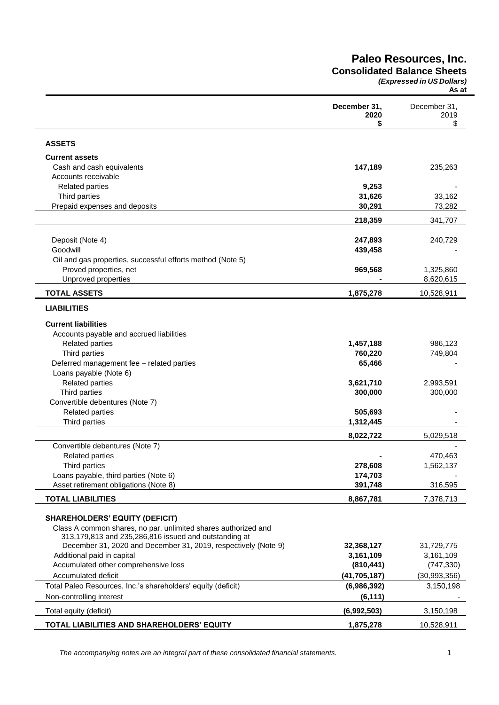**Paleo Resources, Inc.** 

**Consolidated Balance Sheets**

*(Expressed in US Dollars)* **As at**

|                                                                                                                         | December 31,<br>2020<br>\$ | December 31,<br>2019<br>\$ |
|-------------------------------------------------------------------------------------------------------------------------|----------------------------|----------------------------|
| <b>ASSETS</b>                                                                                                           |                            |                            |
| <b>Current assets</b>                                                                                                   |                            |                            |
| Cash and cash equivalents                                                                                               | 147,189                    | 235,263                    |
| Accounts receivable<br><b>Related parties</b>                                                                           | 9,253                      |                            |
| Third parties                                                                                                           | 31,626                     | 33,162                     |
| Prepaid expenses and deposits                                                                                           | 30,291                     | 73,282                     |
|                                                                                                                         | 218,359                    | 341,707                    |
| Deposit (Note 4)                                                                                                        | 247,893                    | 240,729                    |
| Goodwill                                                                                                                | 439,458                    |                            |
| Oil and gas properties, successful efforts method (Note 5)                                                              |                            |                            |
| Proved properties, net                                                                                                  | 969,568                    | 1,325,860                  |
| Unproved properties                                                                                                     |                            | 8,620,615                  |
| <b>TOTAL ASSETS</b>                                                                                                     | 1,875,278                  | 10,528,911                 |
| <b>LIABILITIES</b>                                                                                                      |                            |                            |
| <b>Current liabilities</b>                                                                                              |                            |                            |
| Accounts payable and accrued liabilities                                                                                |                            |                            |
| <b>Related parties</b><br>Third parties                                                                                 | 1,457,188<br>760,220       | 986,123<br>749,804         |
| Deferred management fee - related parties                                                                               | 65,466                     |                            |
| Loans payable (Note 6)                                                                                                  |                            |                            |
| <b>Related parties</b>                                                                                                  | 3,621,710                  | 2,993,591                  |
| Third parties                                                                                                           | 300,000                    | 300,000                    |
| Convertible debentures (Note 7)<br>Related parties                                                                      | 505,693                    |                            |
| Third parties                                                                                                           | 1,312,445                  |                            |
|                                                                                                                         | 8,022,722                  | 5,029,518                  |
| Convertible debentures (Note 7)                                                                                         |                            |                            |
| <b>Related parties</b>                                                                                                  |                            | 470,463                    |
| Third parties                                                                                                           | 278,608                    | 1,562,137                  |
| Loans payable, third parties (Note 6)<br>Asset retirement obligations (Note 8)                                          | 174,703<br>391,748         | 316,595                    |
| <b>TOTAL LIABILITIES</b>                                                                                                | 8,867,781                  | 7,378,713                  |
|                                                                                                                         |                            |                            |
| <b>SHAREHOLDERS' EQUITY (DEFICIT)</b>                                                                                   |                            |                            |
| Class A common shares, no par, unlimited shares authorized and<br>313,179,813 and 235,286,816 issued and outstanding at |                            |                            |
| December 31, 2020 and December 31, 2019, respectively (Note 9)                                                          | 32,368,127                 | 31,729,775                 |
| Additional paid in capital                                                                                              | 3,161,109                  | 3,161,109                  |
| Accumulated other comprehensive loss                                                                                    | (810, 441)                 | (747, 330)                 |
| Accumulated deficit                                                                                                     | (41, 705, 187)             | (30, 993, 356)             |
| Total Paleo Resources, Inc.'s shareholders' equity (deficit)<br>Non-controlling interest                                | (6,986,392)<br>(6, 111)    | 3,150,198                  |
| Total equity (deficit)                                                                                                  | (6,992,503)                | 3,150,198                  |
| TOTAL LIABILITIES AND SHAREHOLDERS' EQUITY                                                                              | 1,875,278                  | 10,528,911                 |
|                                                                                                                         |                            |                            |

*The accompanying notes are an integral part of these consolidated financial statements.* 1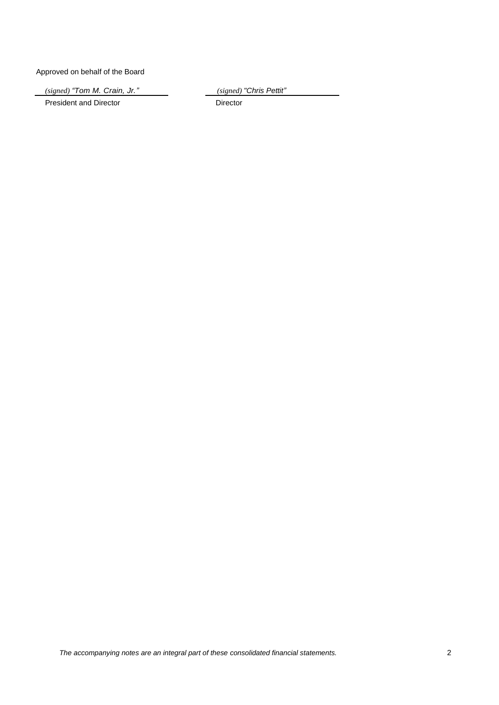Approved on behalf of the Board

*(signed) "Tom M. Crain, Jr." (signed) "Chris Pettit"*

President and Director **Director** Director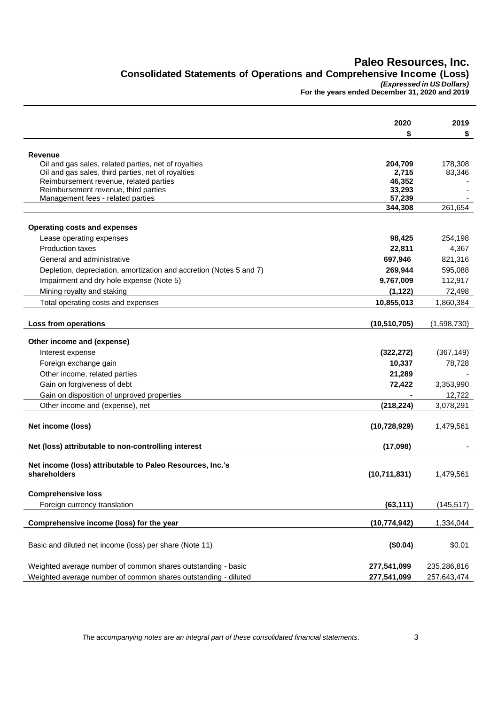# **Paleo Resources, Inc. Consolidated Statements of Operations and Comprehensive Income (Loss)**

*(Expressed in US Dollars)* **For the years ended December 31, 2020 and 2019**

|                                                                     | 2020              | 2019        |
|---------------------------------------------------------------------|-------------------|-------------|
|                                                                     | \$                | \$          |
| <b>Revenue</b>                                                      |                   |             |
| Oil and gas sales, related parties, net of royalties                | 204,709           | 178,308     |
| Oil and gas sales, third parties, net of royalties                  | 2,715             | 83,346      |
| Reimbursement revenue, related parties                              | 46,352            |             |
| Reimbursement revenue, third parties                                | 33,293            |             |
| Management fees - related parties                                   | 57,239<br>344,308 | 261,654     |
|                                                                     |                   |             |
| <b>Operating costs and expenses</b>                                 |                   |             |
| Lease operating expenses                                            | 98,425            | 254,198     |
| <b>Production taxes</b>                                             | 22,811            | 4,367       |
| General and administrative                                          | 697,946           | 821,316     |
| Depletion, depreciation, amortization and accretion (Notes 5 and 7) | 269,944           | 595,088     |
| Impairment and dry hole expense (Note 5)                            | 9,767,009         | 112,917     |
| Mining royalty and staking                                          | (1, 122)          | 72,498      |
| Total operating costs and expenses                                  | 10,855,013        | 1,860,384   |
|                                                                     |                   |             |
| Loss from operations                                                | (10, 510, 705)    | (1,598,730) |
|                                                                     |                   |             |
| Other income and (expense)                                          |                   |             |
| Interest expense                                                    | (322, 272)        | (367, 149)  |
| Foreign exchange gain                                               | 10,337            | 78,728      |
| Other income, related parties                                       | 21,289            |             |
| Gain on forgiveness of debt                                         | 72,422            | 3,353,990   |
| Gain on disposition of unproved properties                          |                   | 12,722      |
| Other income and (expense), net                                     | (218, 224)        | 3,078,291   |
|                                                                     |                   |             |
| Net income (loss)                                                   | (10, 728, 929)    | 1,479,561   |
|                                                                     |                   |             |
| Net (loss) attributable to non-controlling interest                 | (17,098)          |             |
| Net income (loss) attributable to Paleo Resources, Inc.'s           |                   |             |
| shareholders                                                        | (10,711,831)      | 1,479,561   |
|                                                                     |                   |             |
| <b>Comprehensive loss</b>                                           |                   |             |
| Foreign currency translation                                        | (63, 111)         | (145, 517)  |
|                                                                     |                   |             |
| Comprehensive income (loss) for the year                            | (10, 774, 942)    | 1,334,044   |
|                                                                     |                   |             |
| Basic and diluted net income (loss) per share (Note 11)             | (\$0.04)          | \$0.01      |
|                                                                     |                   |             |
| Weighted average number of common shares outstanding - basic        | 277,541,099       | 235,286,816 |
| Weighted average number of common shares outstanding - diluted      | 277,541,099       | 257,643,474 |

*The accompanying notes are an integral part of these consolidated financial statements*. 3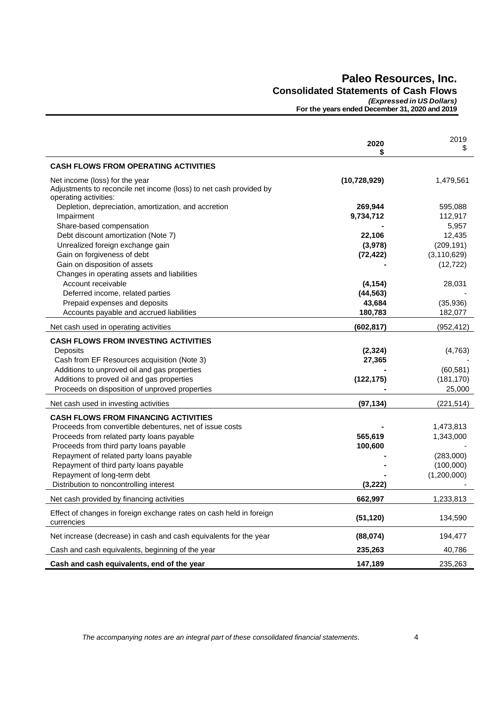# **Paleo Resources, Inc. Consolidated Statements of Cash Flows** *(Expressed in US Dollars)* **For the years ended December 31, 2020 and 2019**

|                                                                                                                               | 2020<br>\$     | 2019<br>\$    |
|-------------------------------------------------------------------------------------------------------------------------------|----------------|---------------|
| <b>CASH FLOWS FROM OPERATING ACTIVITIES</b>                                                                                   |                |               |
| Net income (loss) for the year<br>Adjustments to reconcile net income (loss) to net cash provided by<br>operating activities: | (10, 728, 929) | 1,479,561     |
| Depletion, depreciation, amortization, and accretion                                                                          | 269,944        | 595,088       |
| Impairment                                                                                                                    | 9,734,712      | 112,917       |
| Share-based compensation                                                                                                      |                | 5,957         |
| Debt discount amortization (Note 7)                                                                                           | 22,106         | 12,435        |
| Unrealized foreign exchange gain                                                                                              | (3,978)        | (209, 191)    |
| Gain on forgiveness of debt                                                                                                   | (72, 422)      | (3, 110, 629) |
| Gain on disposition of assets                                                                                                 |                | (12, 722)     |
| Changes in operating assets and liabilities                                                                                   |                |               |
| Account receivable                                                                                                            | (4, 154)       | 28,031        |
| Deferred income, related parties                                                                                              | (44, 563)      |               |
| Prepaid expenses and deposits                                                                                                 | 43,684         | (35, 936)     |
| Accounts payable and accrued liabilities                                                                                      | 180,783        | 182,077       |
| Net cash used in operating activities                                                                                         | (602, 817)     | (952, 412)    |
| <b>CASH FLOWS FROM INVESTING ACTIVITIES</b>                                                                                   |                |               |
| Deposits                                                                                                                      | (2, 324)       | (4,763)       |
| Cash from EF Resources acquisition (Note 3)                                                                                   | 27,365         |               |
| Additions to unproved oil and gas properties                                                                                  |                | (60, 581)     |
| Additions to proved oil and gas properties                                                                                    | (122, 175)     | (181, 170)    |
| Proceeds on disposition of unproved properties                                                                                |                | 25,000        |
| Net cash used in investing activities                                                                                         | (97, 134)      | (221, 514)    |
| <b>CASH FLOWS FROM FINANCING ACTIVITIES</b>                                                                                   |                |               |
| Proceeds from convertible debentures, net of issue costs                                                                      |                | 1,473,813     |
| Proceeds from related party loans payable                                                                                     | 565,619        | 1,343,000     |
| Proceeds from third party loans payable                                                                                       | 100,600        |               |
| Repayment of related party loans payable                                                                                      |                | (283,000)     |
| Repayment of third party loans payable                                                                                        |                | (100,000)     |
| Repayment of long-term debt                                                                                                   |                | (1,200,000)   |
| Distribution to noncontrolling interest                                                                                       | (3, 222)       |               |
| Net cash provided by financing activities                                                                                     | 662,997        | 1,233,813     |
| Effect of changes in foreign exchange rates on cash held in foreign<br>currencies                                             | (51, 120)      | 134,590       |
| Net increase (decrease) in cash and cash equivalents for the year                                                             | (88,074)       | 194,477       |
| Cash and cash equivalents, beginning of the year                                                                              | 235,263        | 40,786        |
| Cash and cash equivalents, end of the year                                                                                    | 147,189        | 235,263       |

*The accompanying notes are an integral part of these consolidated financial statements*. 4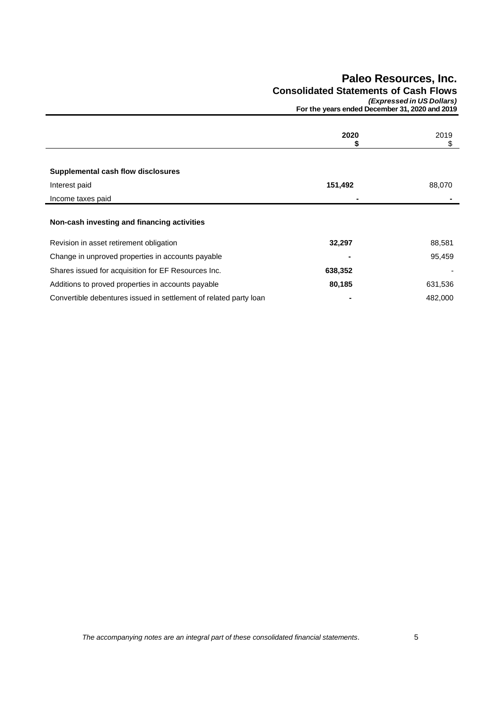# **Paleo Resources, Inc. Consolidated Statements of Cash Flows** *(Expressed in US Dollars)* **For the years ended December 31, 2020 and 2019**

|                                                                   | 2020<br>\$ | 2019<br>\$ |
|-------------------------------------------------------------------|------------|------------|
| Supplemental cash flow disclosures                                |            |            |
| Interest paid                                                     | 151,492    | 88,070     |
| Income taxes paid                                                 | ۰          |            |
| Non-cash investing and financing activities                       |            |            |
| Revision in asset retirement obligation                           | 32,297     | 88,581     |
| Change in unproved properties in accounts payable                 |            | 95,459     |
| Shares issued for acquisition for EF Resources Inc.               | 638,352    |            |
| Additions to proved properties in accounts payable                | 80,185     | 631,536    |
| Convertible debentures issued in settlement of related party loan |            | 482,000    |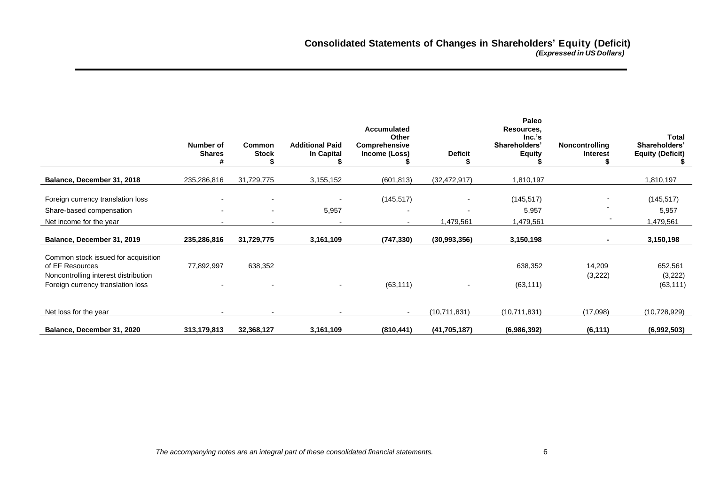|                                                                                                |                            |                               |                                      | <b>Accumulated</b><br>Other    |                | Paleo<br>Resources,<br>Inc.'s  |                                   | <b>Total</b>                             |
|------------------------------------------------------------------------------------------------|----------------------------|-------------------------------|--------------------------------------|--------------------------------|----------------|--------------------------------|-----------------------------------|------------------------------------------|
|                                                                                                | Number of<br><b>Shares</b> | <b>Common</b><br><b>Stock</b> | <b>Additional Paid</b><br>In Capital | Comprehensive<br>Income (Loss) | <b>Deficit</b> | Shareholders'<br><b>Equity</b> | Noncontrolling<br><b>Interest</b> | Shareholders'<br><b>Equity (Deficit)</b> |
| Balance, December 31, 2018                                                                     | 235,286,816                | 31,729,775                    | 3,155,152                            | (601, 813)                     | (32, 472, 917) | 1,810,197                      |                                   | 1,810,197                                |
| Foreign currency translation loss                                                              |                            | $\overline{\phantom{a}}$      | $\sim$                               | (145, 517)                     |                | (145, 517)                     |                                   | (145, 517)                               |
| Share-based compensation                                                                       | $\blacksquare$             | $\overline{\phantom{a}}$      | 5,957                                |                                |                | 5,957                          |                                   | 5,957                                    |
| Net income for the year                                                                        |                            | $\blacksquare$                | $\sim$                               | $\sim$                         | 1,479,561      | 1,479,561                      |                                   | 1,479,561                                |
| Balance, December 31, 2019                                                                     | 235,286,816                | 31,729,775                    | 3,161,109                            | (747, 330)                     | (30,993,356)   | 3,150,198                      |                                   | 3,150,198                                |
| Common stock issued for acquisition<br>of EF Resources<br>Noncontrolling interest distribution | 77,892,997                 | 638,352                       |                                      |                                |                | 638,352                        | 14,209<br>(3,222)                 | 652,561<br>(3,222)                       |
| Foreign currency translation loss                                                              |                            |                               | $\overline{\phantom{a}}$             | (63, 111)                      |                | (63, 111)                      |                                   | (63, 111)                                |
|                                                                                                |                            |                               |                                      |                                |                |                                |                                   |                                          |
| Net loss for the year                                                                          |                            | $\overline{\phantom{a}}$      | $\blacksquare$                       | $\sim$                         | (10,711,831)   | (10,711,831)                   | (17,098)                          | (10, 728, 929)                           |
| Balance, December 31, 2020                                                                     | 313,179,813                | 32,368,127                    | 3,161,109                            | (810, 441)                     | (41,705,187)   | (6,986,392)                    | (6, 111)                          | (6,992,503)                              |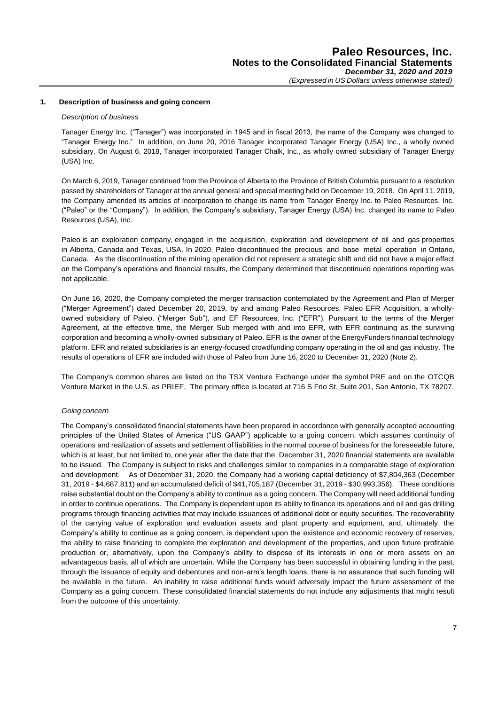#### **1. Description of business and going concern**

#### *Description of business*

Tanager Energy Inc. ("Tanager") was incorporated in 1945 and in fiscal 2013, the name of the Company was changed to "Tanager Energy Inc." In addition, on June 20, 2016 Tanager incorporated Tanager Energy (USA) Inc., a wholly owned subsidiary. On August 6, 2018, Tanager incorporated Tanager Chalk, Inc., as wholly owned subsidiary of Tanager Energy (USA) Inc.

On March 6, 2019, Tanager continued from the Province of Alberta to the Province of British Columbia pursuant to a resolution passed by shareholders of Tanager at the annual general and special meeting held on December 19, 2018. On April 11, 2019, the Company amended its articles of incorporation to change its name from Tanager Energy Inc. to Paleo Resources, Inc. ("Paleo" or the "Company"). In addition, the Company's subsidiary, Tanager Energy (USA) Inc. changed its name to Paleo Resources (USA), Inc.

Paleo is an exploration company, engaged in the acquisition, exploration and development of oil and gas properties in Alberta, Canada and Texas, USA. In 2020, Paleo discontinued the precious and base metal operation in Ontario, Canada. As the discontinuation of the mining operation did not represent a strategic shift and did not have a major effect on the Company's operations and financial results, the Company determined that discontinued operations reporting was not applicable.

On June 16, 2020, the Company completed the merger transaction contemplated by the Agreement and Plan of Merger ("Merger Agreement") dated December 20, 2019, by and among Paleo Resources, Paleo EFR Acquisition, a whollyowned subsidiary of Paleo, ("Merger Sub"), and EF Resources, Inc. ("EFR"). Pursuant to the terms of the Merger Agreement, at the effective time, the Merger Sub merged with and into EFR, with EFR continuing as the surviving corporation and becoming a wholly-owned subsidiary of Paleo. EFR is the owner of the EnergyFunders financial technology platform. EFR and related subsidiaries is an energy-focused crowdfunding company operating in the oil and gas industry. The results of operations of EFR are included with those of Paleo from June 16, 2020 to December 31, 2020 (Note 2).

The Company's common shares are listed on the TSX Venture Exchange under the symbol PRE and on the OTCQB Venture Market in the U.S. as PRIEF. The primary office is located at 716 S Frio St, Suite 201, San Antonio, TX 78207.

#### *Going concern*

The Company's consolidated financial statements have been prepared in accordance with generally accepted accounting principles of the United States of America ("US GAAP") applicable to a going concern, which assumes continuity of operations and realization of assets and settlement of liabilities in the normal course of business for the foreseeable future, which is at least, but not limited to, one year after the date that the December 31, 2020 financial statements are available to be issued. The Company is subject to risks and challenges similar to companies in a comparable stage of exploration and development. As of December 31, 2020, the Company had a working capital deficiency of \$7,804,363 (December 31, 2019 - \$4,687,811) and an accumulated deficit of \$41,705,187 (December 31, 2019 - \$30,993,356). These conditions raise substantial doubt on the Company's ability to continue as a going concern. The Company will need additional funding in order to continue operations. The Company is dependent upon its ability to finance its operations and oil and gas drilling programs through financing activities that may include issuances of additional debt or equity securities. The recoverability of the carrying value of exploration and evaluation assets and plant property and equipment, and, ultimately, the Company's ability to continue as a going concern, is dependent upon the existence and economic recovery of reserves, the ability to raise financing to complete the exploration and development of the properties, and upon future profitable production or, alternatively, upon the Company's ability to dispose of its interests in one or more assets on an advantageous basis, all of which are uncertain. While the Company has been successful in obtaining funding in the past, through the issuance of equity and debentures and non-arm's length loans, there is no assurance that such funding will be available in the future. An inability to raise additional funds would adversely impact the future assessment of the Company as a going concern. These consolidated financial statements do not include any adjustments that might result from the outcome of this uncertainty.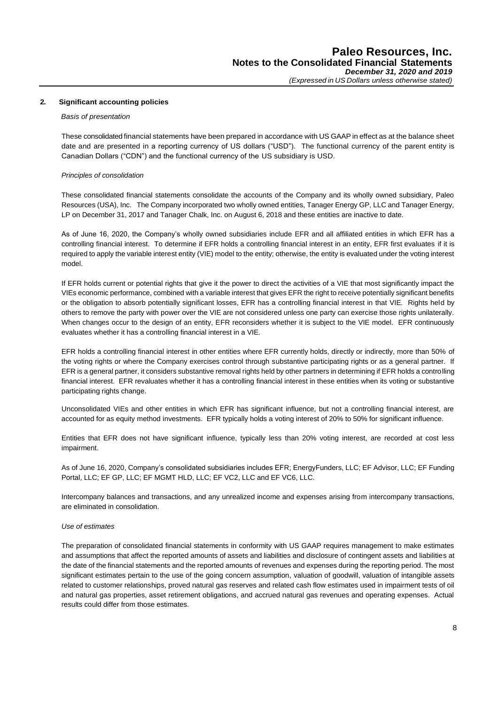#### **2. Significant accounting policies**

#### *Basis of presentation*

These consolidated financial statements have been prepared in accordance with US GAAP in effect as at the balance sheet date and are presented in a reporting currency of US dollars ("USD"). The functional currency of the parent entity is Canadian Dollars ("CDN") and the functional currency of the US subsidiary is USD.

#### *Principles of consolidation*

These consolidated financial statements consolidate the accounts of the Company and its wholly owned subsidiary, Paleo Resources (USA), Inc. The Company incorporated two wholly owned entities, Tanager Energy GP, LLC and Tanager Energy, LP on December 31, 2017 and Tanager Chalk, Inc. on August 6, 2018 and these entities are inactive to date.

As of June 16, 2020, the Company's wholly owned subsidiaries include EFR and all affiliated entities in which EFR has a controlling financial interest. To determine if EFR holds a controlling financial interest in an entity, EFR first evaluates if it is required to apply the variable interest entity (VIE) model to the entity; otherwise, the entity is evaluated under the voting interest model.

If EFR holds current or potential rights that give it the power to direct the activities of a VIE that most significantly impact the VIEs economic performance, combined with a variable interest that gives EFR the right to receive potentially significant benefits or the obligation to absorb potentially significant losses, EFR has a controlling financial interest in that VIE. Rights held by others to remove the party with power over the VIE are not considered unless one party can exercise those rights unilaterally. When changes occur to the design of an entity, EFR reconsiders whether it is subject to the VIE model. EFR continuously evaluates whether it has a controlling financial interest in a VIE.

EFR holds a controlling financial interest in other entities where EFR currently holds, directly or indirectly, more than 50% of the voting rights or where the Company exercises control through substantive participating rights or as a general partner. If EFR is a general partner, it considers substantive removal rights held by other partners in determining if EFR holds a controlling financial interest. EFR revaluates whether it has a controlling financial interest in these entities when its voting or substantive participating rights change.

Unconsolidated VIEs and other entities in which EFR has significant influence, but not a controlling financial interest, are accounted for as equity method investments. EFR typically holds a voting interest of 20% to 50% for significant influence.

Entities that EFR does not have significant influence, typically less than 20% voting interest, are recorded at cost less impairment.

As of June 16, 2020, Company's consolidated subsidiaries includes EFR; EnergyFunders, LLC; EF Advisor, LLC; EF Funding Portal, LLC; EF GP, LLC; EF MGMT HLD, LLC; EF VC2, LLC and EF VC6, LLC.

Intercompany balances and transactions, and any unrealized income and expenses arising from intercompany transactions, are eliminated in consolidation.

#### *Use of estimates*

The preparation of consolidated financial statements in conformity with US GAAP requires management to make estimates and assumptions that affect the reported amounts of assets and liabilities and disclosure of contingent assets and liabilities at the date of the financial statements and the reported amounts of revenues and expenses during the reporting period. The most significant estimates pertain to the use of the going concern assumption, valuation of goodwill, valuation of intangible assets related to customer relationships, proved natural gas reserves and related cash flow estimates used in impairment tests of oil and natural gas properties, asset retirement obligations, and accrued natural gas revenues and operating expenses. Actual results could differ from those estimates.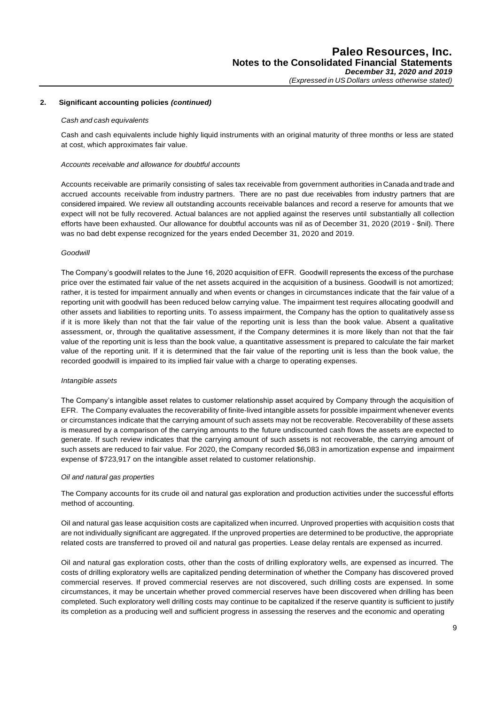#### *Cash and cash equivalents*

Cash and cash equivalents include highly liquid instruments with an original maturity of three months or less are stated at cost, which approximates fair value.

#### *Accounts receivable and allowance for doubtful accounts*

Accounts receivable are primarily consisting of sales tax receivable from government authorities in Canada and trade and accrued accounts receivable from industry partners. There are no past due receivables from industry partners that are considered impaired. We review all outstanding accounts receivable balances and record a reserve for amounts that we expect will not be fully recovered. Actual balances are not applied against the reserves until substantially all collection efforts have been exhausted. Our allowance for doubtful accounts was nil as of December 31, 2020 (2019 - \$nil). There was no bad debt expense recognized for the years ended December 31, 2020 and 2019.

# *Goodwill*

The Company's goodwill relates to the June 16, 2020 acquisition of EFR. Goodwill represents the excess of the purchase price over the estimated fair value of the net assets acquired in the acquisition of a business. Goodwill is not amortized; rather, it is tested for impairment annually and when events or changes in circumstances indicate that the fair value of a reporting unit with goodwill has been reduced below carrying value. The impairment test requires allocating goodwill and other assets and liabilities to reporting units. To assess impairment, the Company has the option to qualitatively assess if it is more likely than not that the fair value of the reporting unit is less than the book value. Absent a qualitative assessment, or, through the qualitative assessment, if the Company determines it is more likely than not that the fair value of the reporting unit is less than the book value, a quantitative assessment is prepared to calculate the fair market value of the reporting unit. If it is determined that the fair value of the reporting unit is less than the book value, the recorded goodwill is impaired to its implied fair value with a charge to operating expenses.

#### *Intangible assets*

The Company's intangible asset relates to customer relationship asset acquired by Company through the acquisition of EFR. The Company evaluates the recoverability of finite-lived intangible assets for possible impairment whenever events or circumstances indicate that the carrying amount of such assets may not be recoverable. Recoverability of these assets is measured by a comparison of the carrying amounts to the future undiscounted cash flows the assets are expected to generate. If such review indicates that the carrying amount of such assets is not recoverable, the carrying amount of such assets are reduced to fair value. For 2020, the Company recorded \$6,083 in amortization expense and impairment expense of \$723,917 on the intangible asset related to customer relationship.

#### *Oil and natural gas properties*

The Company accounts for its crude oil and natural gas exploration and production activities under the successful efforts method of accounting.

Oil and natural gas lease acquisition costs are capitalized when incurred. Unproved properties with acquisition costs that are not individually significant are aggregated. If the unproved properties are determined to be productive, the appropriate related costs are transferred to proved oil and natural gas properties. Lease delay rentals are expensed as incurred.

Oil and natural gas exploration costs, other than the costs of drilling exploratory wells, are expensed as incurred. The costs of drilling exploratory wells are capitalized pending determination of whether the Company has discovered proved commercial reserves. If proved commercial reserves are not discovered, such drilling costs are expensed. In some circumstances, it may be uncertain whether proved commercial reserves have been discovered when drilling has been completed. Such exploratory well drilling costs may continue to be capitalized if the reserve quantity is sufficient to justify its completion as a producing well and sufficient progress in assessing the reserves and the economic and operating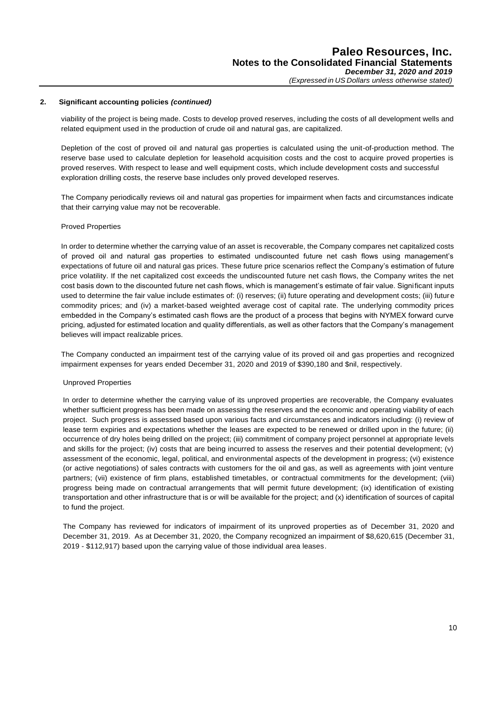viability of the project is being made. Costs to develop proved reserves, including the costs of all development wells and related equipment used in the production of crude oil and natural gas, are capitalized.

Depletion of the cost of proved oil and natural gas properties is calculated using the unit-of-production method. The reserve base used to calculate depletion for leasehold acquisition costs and the cost to acquire proved properties is proved reserves. With respect to lease and well equipment costs, which include development costs and successful exploration drilling costs, the reserve base includes only proved developed reserves.

The Company periodically reviews oil and natural gas properties for impairment when facts and circumstances indicate that their carrying value may not be recoverable.

#### Proved Properties

In order to determine whether the carrying value of an asset is recoverable, the Company compares net capitalized costs of proved oil and natural gas properties to estimated undiscounted future net cash flows using management's expectations of future oil and natural gas prices. These future price scenarios reflect the Company's estimation of future price volatility. If the net capitalized cost exceeds the undiscounted future net cash flows, the Company writes the net cost basis down to the discounted future net cash flows, which is management's estimate of fair value. Significant inputs used to determine the fair value include estimates of: (i) reserves; (ii) future operating and development costs; (iii) future commodity prices; and (iv) a market-based weighted average cost of capital rate. The underlying commodity prices embedded in the Company's estimated cash flows are the product of a process that begins with NYMEX forward curve pricing, adjusted for estimated location and quality differentials, as well as other factors that the Company's management believes will impact realizable prices.

The Company conducted an impairment test of the carrying value of its proved oil and gas properties and recognized impairment expenses for years ended December 31, 2020 and 2019 of \$390,180 and \$nil, respectively.

#### Unproved Properties

In order to determine whether the carrying value of its unproved properties are recoverable, the Company evaluates whether sufficient progress has been made on assessing the reserves and the economic and operating viability of each project. Such progress is assessed based upon various facts and circumstances and indicators including: (i) review of lease term expiries and expectations whether the leases are expected to be renewed or drilled upon in the future; (ii) occurrence of dry holes being drilled on the project; (iii) commitment of company project personnel at appropriate levels and skills for the project; (iv) costs that are being incurred to assess the reserves and their potential development; (v) assessment of the economic, legal, political, and environmental aspects of the development in progress; (vi) existence (or active negotiations) of sales contracts with customers for the oil and gas, as well as agreements with joint venture partners; (vii) existence of firm plans, established timetables, or contractual commitments for the development; (viii) progress being made on contractual arrangements that will permit future development; (ix) identification of existing transportation and other infrastructure that is or will be available for the project; and (x) identification of sources of capital to fund the project.

The Company has reviewed for indicators of impairment of its unproved properties as of December 31, 2020 and December 31, 2019. As at December 31, 2020, the Company recognized an impairment of \$8,620,615 (December 31, 2019 - \$112,917) based upon the carrying value of those individual area leases.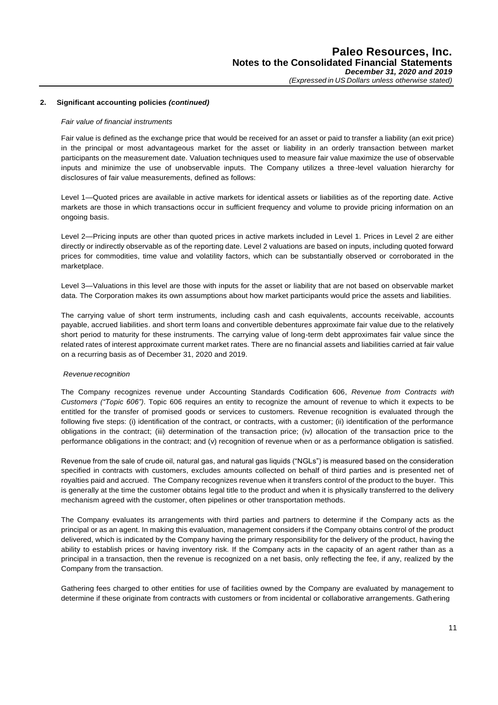#### *Fair value of financial instruments*

Fair value is defined as the exchange price that would be received for an asset or paid to transfer a liability (an exit price) in the principal or most advantageous market for the asset or liability in an orderly transaction between market participants on the measurement date. Valuation techniques used to measure fair value maximize the use of observable inputs and minimize the use of unobservable inputs. The Company utilizes a three-level valuation hierarchy for disclosures of fair value measurements, defined as follows:

Level 1—Quoted prices are available in active markets for identical assets or liabilities as of the reporting date. Active markets are those in which transactions occur in sufficient frequency and volume to provide pricing information on an ongoing basis.

Level 2—Pricing inputs are other than quoted prices in active markets included in Level 1. Prices in Level 2 are either directly or indirectly observable as of the reporting date. Level 2 valuations are based on inputs, including quoted forward prices for commodities, time value and volatility factors, which can be substantially observed or corroborated in the marketplace.

Level 3—Valuations in this level are those with inputs for the asset or liability that are not based on observable market data. The Corporation makes its own assumptions about how market participants would price the assets and liabilities.

The carrying value of short term instruments, including cash and cash equivalents, accounts receivable, accounts payable, accrued liabilities. and short term loans and convertible debentures approximate fair value due to the relatively short period to maturity for these instruments. The carrying value of long-term debt approximates fair value since the related rates of interest approximate current market rates. There are no financial assets and liabilities carried at fair value on a recurring basis as of December 31, 2020 and 2019.

#### *Revenue recognition*

The Company recognizes revenue under Accounting Standards Codification 606, *Revenue from Contracts with Customers ("Topic 606")*. Topic 606 requires an entity to recognize the amount of revenue to which it expects to be entitled for the transfer of promised goods or services to customers. Revenue recognition is evaluated through the following five steps: (i) identification of the contract, or contracts, with a customer; (ii) identification of the performance obligations in the contract; (iii) determination of the transaction price; (iv) allocation of the transaction price to the performance obligations in the contract; and (v) recognition of revenue when or as a performance obligation is satisfied.

Revenue from the sale of crude oil, natural gas, and natural gas liquids ("NGLs") is measured based on the consideration specified in contracts with customers, excludes amounts collected on behalf of third parties and is presented net of royalties paid and accrued. The Company recognizes revenue when it transfers control of the product to the buyer. This is generally at the time the customer obtains legal title to the product and when it is physically transferred to the delivery mechanism agreed with the customer, often pipelines or other transportation methods.

The Company evaluates its arrangements with third parties and partners to determine if the Company acts as the principal or as an agent. In making this evaluation, management considers if the Company obtains control of the product delivered, which is indicated by the Company having the primary responsibility for the delivery of the product, having the ability to establish prices or having inventory risk. If the Company acts in the capacity of an agent rather than as a principal in a transaction, then the revenue is recognized on a net basis, only reflecting the fee, if any, realized by the Company from the transaction.

Gathering fees charged to other entities for use of facilities owned by the Company are evaluated by management to determine if these originate from contracts with customers or from incidental or collaborative arrangements. Gathering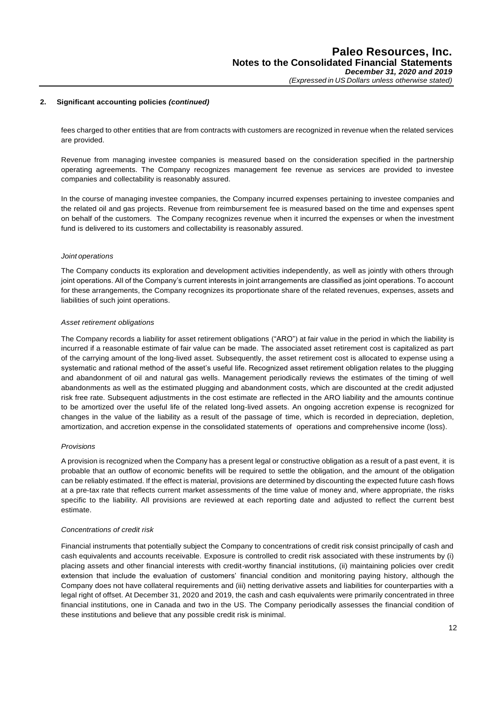fees charged to other entities that are from contracts with customers are recognized in revenue when the related services are provided.

Revenue from managing investee companies is measured based on the consideration specified in the partnership operating agreements. The Company recognizes management fee revenue as services are provided to investee companies and collectability is reasonably assured.

In the course of managing investee companies, the Company incurred expenses pertaining to investee companies and the related oil and gas projects. Revenue from reimbursement fee is measured based on the time and expenses spent on behalf of the customers. The Company recognizes revenue when it incurred the expenses or when the investment fund is delivered to its customers and collectability is reasonably assured.

#### *Joint operations*

The Company conducts its exploration and development activities independently, as well as jointly with others through joint operations. All of the Company's current interests in joint arrangements are classified as joint operations. To account for these arrangements, the Company recognizes its proportionate share of the related revenues, expenses, assets and liabilities of such joint operations.

#### *Asset retirement obligations*

The Company records a liability for asset retirement obligations ("ARO") at fair value in the period in which the liability is incurred if a reasonable estimate of fair value can be made. The associated asset retirement cost is capitalized as part of the carrying amount of the long-lived asset. Subsequently, the asset retirement cost is allocated to expense using a systematic and rational method of the asset's useful life. Recognized asset retirement obligation relates to the plugging and abandonment of oil and natural gas wells. Management periodically reviews the estimates of the timing of well abandonments as well as the estimated plugging and abandonment costs, which are discounted at the credit adjusted risk free rate. Subsequent adjustments in the cost estimate are reflected in the ARO liability and the amounts continue to be amortized over the useful life of the related long-lived assets. An ongoing accretion expense is recognized for changes in the value of the liability as a result of the passage of time, which is recorded in depreciation, depletion, amortization, and accretion expense in the consolidated statements of operations and comprehensive income (loss).

#### *Provisions*

A provision is recognized when the Company has a present legal or constructive obligation as a result of a past event, it is probable that an outflow of economic benefits will be required to settle the obligation, and the amount of the obligation can be reliably estimated. If the effect is material, provisions are determined by discounting the expected future cash flows at a pre-tax rate that reflects current market assessments of the time value of money and, where appropriate, the risks specific to the liability. All provisions are reviewed at each reporting date and adjusted to reflect the current best estimate.

#### *Concentrations of credit risk*

Financial instruments that potentially subject the Company to concentrations of credit risk consist principally of cash and cash equivalents and accounts receivable. Exposure is controlled to credit risk associated with these instruments by (i) placing assets and other financial interests with credit-worthy financial institutions, (ii) maintaining policies over credit extension that include the evaluation of customers' financial condition and monitoring paying history, although the Company does not have collateral requirements and (iii) netting derivative assets and liabilities for counterparties with a legal right of offset. At December 31, 2020 and 2019, the cash and cash equivalents were primarily concentrated in three financial institutions, one in Canada and two in the US. The Company periodically assesses the financial condition of these institutions and believe that any possible credit risk is minimal.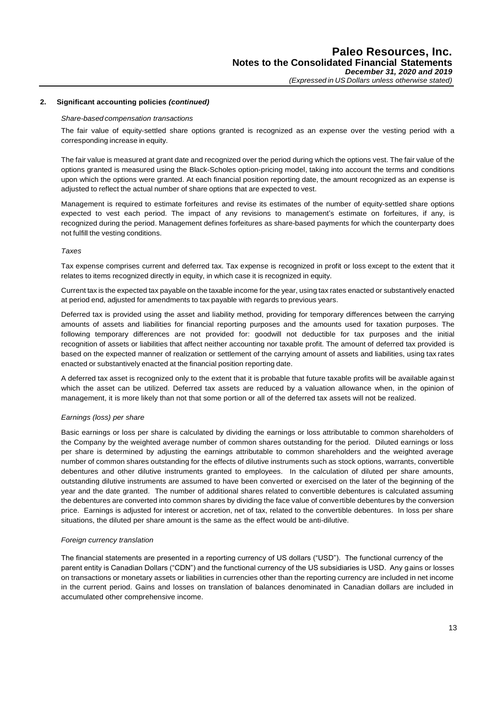#### *Share-based compensation transactions*

The fair value of equity-settled share options granted is recognized as an expense over the vesting period with a corresponding increase in equity.

The fair value is measured at grant date and recognized over the period during which the options vest. The fair value of the options granted is measured using the Black-Scholes option-pricing model, taking into account the terms and conditions upon which the options were granted. At each financial position reporting date, the amount recognized as an expense is adjusted to reflect the actual number of share options that are expected to vest.

Management is required to estimate forfeitures and revise its estimates of the number of equity-settled share options expected to vest each period. The impact of any revisions to management's estimate on forfeitures, if any, is recognized during the period. Management defines forfeitures as share-based payments for which the counterparty does not fulfill the vesting conditions.

#### *Taxes*

Tax expense comprises current and deferred tax. Tax expense is recognized in profit or loss except to the extent that it relates to items recognized directly in equity, in which case it is recognized in equity.

Current tax is the expected tax payable on the taxable income for the year, using tax rates enacted or substantively enacted at period end, adjusted for amendments to tax payable with regards to previous years.

Deferred tax is provided using the asset and liability method, providing for temporary differences between the carrying amounts of assets and liabilities for financial reporting purposes and the amounts used for taxation purposes. The following temporary differences are not provided for: goodwill not deductible for tax purposes and the initial recognition of assets or liabilities that affect neither accounting nor taxable profit. The amount of deferred tax provided is based on the expected manner of realization or settlement of the carrying amount of assets and liabilities, using tax rates enacted or substantively enacted at the financial position reporting date.

A deferred tax asset is recognized only to the extent that it is probable that future taxable profits will be available against which the asset can be utilized. Deferred tax assets are reduced by a valuation allowance when, in the opinion of management, it is more likely than not that some portion or all of the deferred tax assets will not be realized.

# *Earnings (loss) per share*

Basic earnings or loss per share is calculated by dividing the earnings or loss attributable to common shareholders of the Company by the weighted average number of common shares outstanding for the period. Diluted earnings or loss per share is determined by adjusting the earnings attributable to common shareholders and the weighted average number of common shares outstanding for the effects of dilutive instruments such as stock options, warrants, convertible debentures and other dilutive instruments granted to employees. In the calculation of diluted per share amounts, outstanding dilutive instruments are assumed to have been converted or exercised on the later of the beginning of the year and the date granted. The number of additional shares related to convertible debentures is calculated assuming the debentures are converted into common shares by dividing the face value of convertible debentures by the conversion price. Earnings is adjusted for interest or accretion, net of tax, related to the convertible debentures. In loss per share situations, the diluted per share amount is the same as the effect would be anti-dilutive.

# *Foreign currency translation*

The financial statements are presented in a reporting currency of US dollars ("USD"). The functional currency of the parent entity is Canadian Dollars ("CDN") and the functional currency of the US subsidiaries is USD. Any gains or losses on transactions or monetary assets or liabilities in currencies other than the reporting currency are included in net income in the current period. Gains and losses on translation of balances denominated in Canadian dollars are included in accumulated other comprehensive income.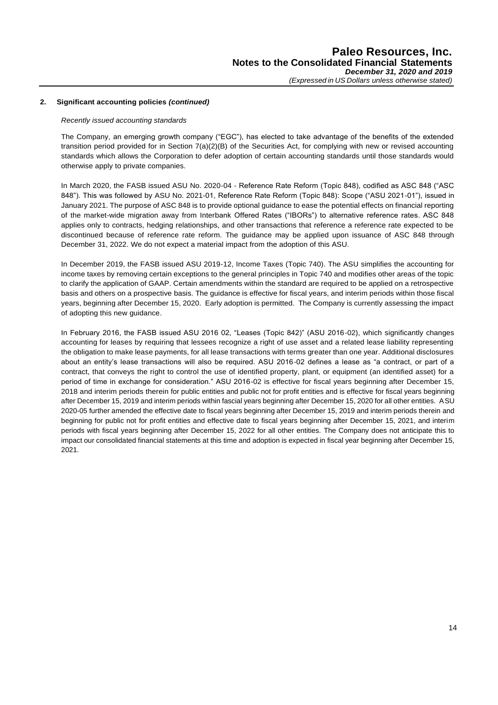#### *Recently issued accounting standards*

The Company, an emerging growth company ("EGC"), has elected to take advantage of the benefits of the extended transition period provided for in Section 7(a)(2)(B) of the Securities Act, for complying with new or revised accounting standards which allows the Corporation to defer adoption of certain accounting standards until those standards would otherwise apply to private companies.

In March 2020, the FASB issued ASU No. 2020-04 - Reference Rate Reform (Topic 848), codified as ASC 848 ("ASC 848"). This was followed by ASU No. 2021-01, Reference Rate Reform (Topic 848): Scope ("ASU 2021-01"), issued in January 2021. The purpose of ASC 848 is to provide optional guidance to ease the potential effects on financial reporting of the market-wide migration away from Interbank Offered Rates ("IBORs") to alternative reference rates. ASC 848 applies only to contracts, hedging relationships, and other transactions that reference a reference rate expected to be discontinued because of reference rate reform. The guidance may be applied upon issuance of ASC 848 through December 31, 2022. We do not expect a material impact from the adoption of this ASU.

In December 2019, the FASB issued ASU 2019-12, Income Taxes (Topic 740). The ASU simplifies the accounting for income taxes by removing certain exceptions to the general principles in Topic 740 and modifies other areas of the topic to clarify the application of GAAP. Certain amendments within the standard are required to be applied on a retrospective basis and others on a prospective basis. The guidance is effective for fiscal years, and interim periods within those fiscal years, beginning after December 15, 2020. Early adoption is permitted. The Company is currently assessing the impact of adopting this new guidance.

In February 2016, the FASB issued ASU 2016 02, "Leases (Topic 842)" (ASU 2016-02), which significantly changes accounting for leases by requiring that lessees recognize a right of use asset and a related lease liability representing the obligation to make lease payments, for all lease transactions with terms greater than one year. Additional disclosures about an entity's lease transactions will also be required. ASU 2016-02 defines a lease as "a contract, or part of a contract, that conveys the right to control the use of identified property, plant, or equipment (an identified asset) for a period of time in exchange for consideration." ASU 2016-02 is effective for fiscal years beginning after December 15, 2018 and interim periods therein for public entities and public not for profit entities and is effective for fiscal years beginning after December 15, 2019 and interim periods within fascial years beginning after December 15, 2020 for all other entities. ASU 2020-05 further amended the effective date to fiscal years beginning after December 15, 2019 and interim periods therein and beginning for public not for profit entities and effective date to fiscal years beginning after December 15, 2021, and interim periods with fiscal years beginning after December 15, 2022 for all other entities. The Company does not anticipate this to impact our consolidated financial statements at this time and adoption is expected in fiscal year beginning after December 15, 2021.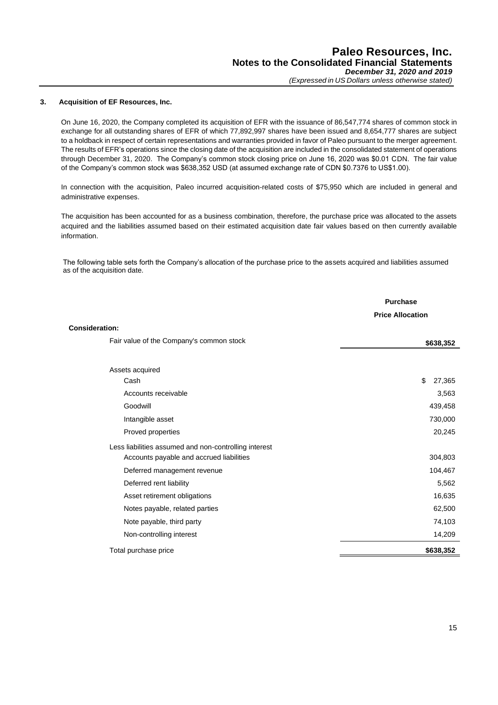#### **3. Acquisition of EF Resources, Inc.**

On June 16, 2020, the Company completed its acquisition of EFR with the issuance of 86,547,774 shares of common stock in exchange for all outstanding shares of EFR of which 77,892,997 shares have been issued and 8,654,777 shares are subject to a holdback in respect of certain representations and warranties provided in favor of Paleo pursuant to the merger agreement. The results of EFR's operations since the closing date of the acquisition are included in the consolidated statement of operations through December 31, 2020. The Company's common stock closing price on June 16, 2020 was \$0.01 CDN. The fair value of the Company's common stock was \$638,352 USD (at assumed exchange rate of CDN \$0.7376 to US\$1.00).

In connection with the acquisition, Paleo incurred acquisition-related costs of \$75,950 which are included in general and administrative expenses.

The acquisition has been accounted for as a business combination, therefore, the purchase price was allocated to the assets acquired and the liabilities assumed based on their estimated acquisition date fair values based on then currently available information.

The following table sets forth the Company's allocation of the purchase price to the assets acquired and liabilities assumed as of the acquisition date.

|                                                       | <b>Purchase</b>         |  |
|-------------------------------------------------------|-------------------------|--|
|                                                       | <b>Price Allocation</b> |  |
| <b>Consideration:</b>                                 |                         |  |
| Fair value of the Company's common stock              | \$638,352               |  |
| Assets acquired                                       |                         |  |
| Cash                                                  | \$<br>27,365            |  |
| Accounts receivable                                   | 3,563                   |  |
| Goodwill                                              | 439,458                 |  |
| Intangible asset                                      | 730,000                 |  |
| Proved properties                                     | 20,245                  |  |
| Less liabilities assumed and non-controlling interest |                         |  |
| Accounts payable and accrued liabilities              | 304,803                 |  |
| Deferred management revenue                           | 104,467                 |  |
| Deferred rent liability                               | 5,562                   |  |
| Asset retirement obligations                          | 16,635                  |  |
| Notes payable, related parties                        | 62,500                  |  |
| Note payable, third party                             | 74,103                  |  |
| Non-controlling interest                              | 14,209                  |  |
| Total purchase price                                  | \$638,352               |  |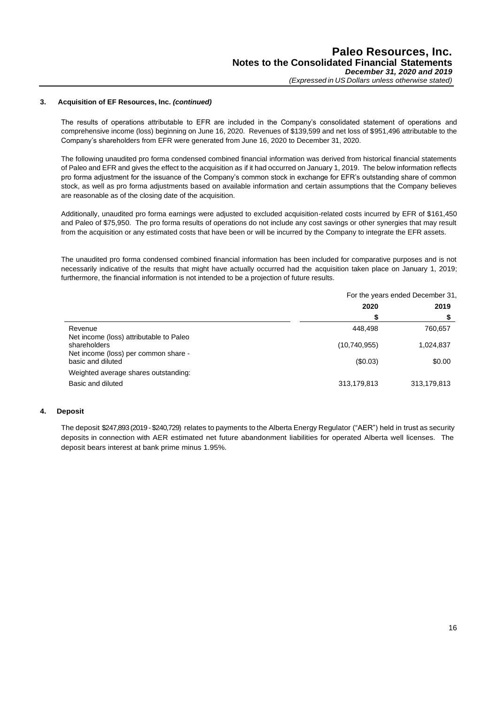#### **3. Acquisition of EF Resources, Inc.** *(continued)*

The results of operations attributable to EFR are included in the Company's consolidated statement of operations and comprehensive income (loss) beginning on June 16, 2020. Revenues of \$139,599 and net loss of \$951,496 attributable to the Company's shareholders from EFR were generated from June 16, 2020 to December 31, 2020.

The following unaudited pro forma condensed combined financial information was derived from historical financial statements of Paleo and EFR and gives the effect to the acquisition as if it had occurred on January 1, 2019. The below information reflects pro forma adjustment for the issuance of the Company's common stock in exchange for EFR's outstanding share of common stock, as well as pro forma adjustments based on available information and certain assumptions that the Company believes are reasonable as of the closing date of the acquisition.

Additionally, unaudited pro forma earnings were adjusted to excluded acquisition-related costs incurred by EFR of \$161,450 and Paleo of \$75,950. The pro forma results of operations do not include any cost savings or other synergies that may result from the acquisition or any estimated costs that have been or will be incurred by the Company to integrate the EFR assets.

The unaudited pro forma condensed combined financial information has been included for comparative purposes and is not necessarily indicative of the results that might have actually occurred had the acquisition taken place on January 1, 2019; furthermore, the financial information is not intended to be a projection of future results.

|                                                      | For the years ended December 31. |             |  |
|------------------------------------------------------|----------------------------------|-------------|--|
|                                                      | 2020                             | 2019        |  |
|                                                      |                                  |             |  |
| Revenue<br>Net income (loss) attributable to Paleo   | 448.498                          | 760,657     |  |
| shareholders<br>Net income (loss) per common share - | (10,740,955)                     | 1,024,837   |  |
| basic and diluted                                    | (\$0.03)                         | \$0.00      |  |
| Weighted average shares outstanding:                 |                                  |             |  |
| Basic and diluted                                    | 313,179,813                      | 313,179,813 |  |

# **4. Deposit**

The deposit \$247,893 (2019 - \$240,729) relates to payments to the Alberta Energy Regulator ("AER") held in trust as security deposits in connection with AER estimated net future abandonment liabilities for operated Alberta well licenses. The deposit bears interest at bank prime minus 1.95%.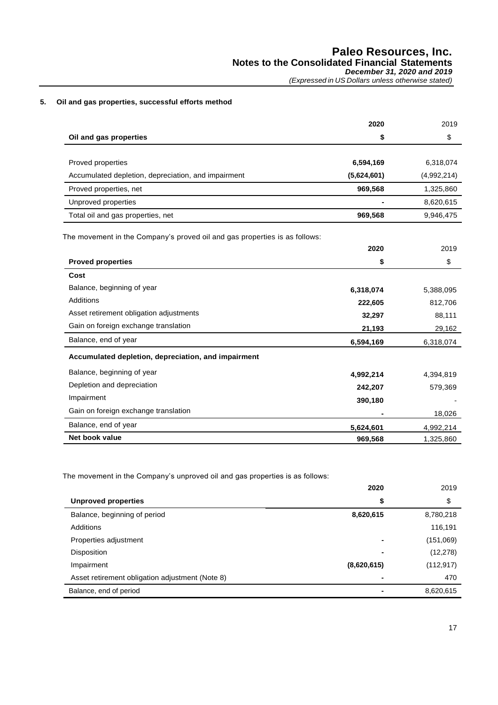# **5. Oil and gas properties, successful efforts method**

|                                                                            | 2020        | 2019        |
|----------------------------------------------------------------------------|-------------|-------------|
| Oil and gas properties                                                     | \$          | \$          |
|                                                                            |             |             |
| Proved properties                                                          | 6,594,169   | 6,318,074   |
| Accumulated depletion, depreciation, and impairment                        | (5,624,601) | (4,992,214) |
| Proved properties, net                                                     | 969,568     | 1,325,860   |
| Unproved properties                                                        |             | 8,620,615   |
| Total oil and gas properties, net                                          | 969,568     | 9,946,475   |
| The movement in the Company's proved oil and gas properties is as follows: |             |             |
|                                                                            | 2020        | 2019        |
| <b>Proved properties</b>                                                   | \$          | \$          |
| Cost                                                                       |             |             |
| Balance, beginning of year                                                 | 6,318,074   | 5,388,095   |
| <b>Additions</b>                                                           | 222,605     | 812,706     |
| Asset retirement obligation adjustments                                    | 32,297      | 88,111      |
| Gain on foreign exchange translation                                       | 21,193      | 29,162      |
| Balance, end of year                                                       | 6,594,169   | 6,318,074   |
| Accumulated depletion, depreciation, and impairment                        |             |             |
| Balance, beginning of year                                                 | 4,992,214   | 4,394,819   |
| Depletion and depreciation                                                 | 242,207     | 579,369     |
| Impairment                                                                 | 390,180     |             |
| Gain on foreign exchange translation                                       |             | 18,026      |
| Balance, end of year                                                       | 5,624,601   | 4,992,214   |
| Net book value                                                             | 969,568     | 1,325,860   |

The movement in the Company's unproved oil and gas properties is as follows:

|                                                 | 2020        | 2019       |
|-------------------------------------------------|-------------|------------|
| <b>Unproved properties</b>                      | \$          | \$         |
| Balance, beginning of period                    | 8,620,615   | 8,780,218  |
| Additions                                       |             | 116,191    |
| Properties adjustment                           |             | (151,069)  |
| <b>Disposition</b>                              |             | (12, 278)  |
| Impairment                                      | (8,620,615) | (112, 917) |
| Asset retirement obligation adjustment (Note 8) |             | 470        |
| Balance, end of period                          |             | 8,620,615  |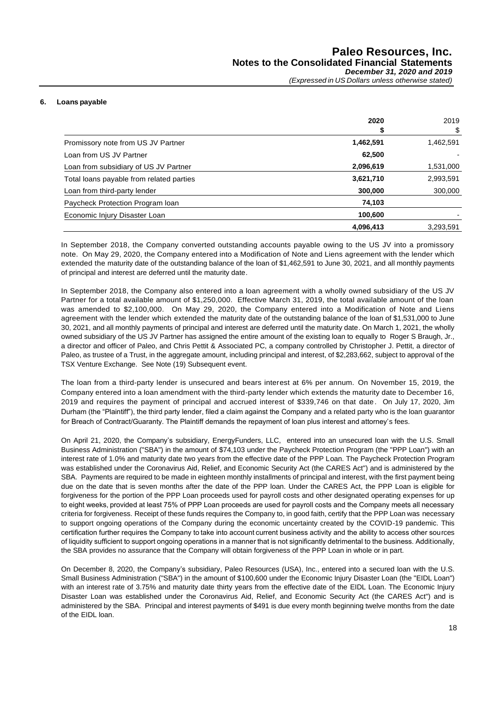#### **6. Loans payable**

|                                          | 2020      | 2019      |
|------------------------------------------|-----------|-----------|
|                                          | S         | \$        |
| Promissory note from US JV Partner       | 1,462,591 | 1,462,591 |
| Loan from US JV Partner                  | 62,500    |           |
| Loan from subsidiary of US JV Partner    | 2,096,619 | 1,531,000 |
| Total loans payable from related parties | 3,621,710 | 2,993,591 |
| Loan from third-party lender             | 300,000   | 300,000   |
| Paycheck Protection Program Ioan         | 74,103    |           |
| Economic Injury Disaster Loan            | 100,600   |           |
|                                          | 4,096,413 | 3,293,591 |

In September 2018, the Company converted outstanding accounts payable owing to the US JV into a promissory note. On May 29, 2020, the Company entered into a Modification of Note and Liens agreement with the lender which extended the maturity date of the outstanding balance of the loan of \$1,462,591 to June 30, 2021, and all monthly payments of principal and interest are deferred until the maturity date.

In September 2018, the Company also entered into a loan agreement with a wholly owned subsidiary of the US JV Partner for a total available amount of \$1,250,000. Effective March 31, 2019, the total available amount of the loan was amended to \$2,100,000. On May 29, 2020, the Company entered into a Modification of Note and Liens agreement with the lender which extended the maturity date of the outstanding balance of the loan of \$1,531,000 to June 30, 2021, and all monthly payments of principal and interest are deferred until the maturity date. On March 1, 2021, the wholly owned subsidiary of the US JV Partner has assigned the entire amount of the existing loan to equally to Roger S Braugh, Jr., a director and officer of Paleo, and Chris Pettit & Associated PC, a company controlled by Christopher J. Pettit, a director of Paleo, as trustee of a Trust, in the aggregate amount, including principal and interest, of \$2,283,662, subject to approval of the TSX Venture Exchange. See Note (19) Subsequent event.

The loan from a third-party lender is unsecured and bears interest at 6% per annum. On November 15, 2019, the Company entered into a loan amendment with the third-party lender which extends the maturity date to December 16, 2019 and requires the payment of principal and accrued interest of \$339,746 on that date. On July 17, 2020, Jim Durham (the "Plaintiff"), the third party lender, filed a claim against the Company and a related party who is the loan guarantor for Breach of Contract/Guaranty. The Plaintiff demands the repayment of loan plus interest and attorney's fees.

On April 21, 2020, the Company's subsidiary, EnergyFunders, LLC, entered into an unsecured loan with the U.S. Small Business Administration ("SBA") in the amount of \$74,103 under the Paycheck Protection Program (the "PPP Loan") with an interest rate of 1.0% and maturity date two years from the effective date of the PPP Loan. The Paycheck Protection Program was established under the Coronavirus Aid, Relief, and Economic Security Act (the CARES Act") and is administered by the SBA. Payments are required to be made in eighteen monthly installments of principal and interest, with the first payment being due on the date that is seven months after the date of the PPP loan. Under the CARES Act, the PPP Loan is eligible for forgiveness for the portion of the PPP Loan proceeds used for payroll costs and other designated operating expenses for up to eight weeks, provided at least 75% of PPP Loan proceeds are used for payroll costs and the Company meets all necessary criteria for forgiveness. Receipt of these funds requires the Company to, in good faith, certify that the PPP Loan was necessary to support ongoing operations of the Company during the economic uncertainty created by the COVID-19 pandemic. This certification further requires the Company to take into account current business activity and the ability to access other sources of liquidity sufficient to support ongoing operations in a manner that is not significantly detrimental to the business. Additionally, the SBA provides no assurance that the Company will obtain forgiveness of the PPP Loan in whole or in part.

On December 8, 2020, the Company's subsidiary, Paleo Resources (USA), Inc., entered into a secured loan with the U.S. Small Business Administration ("SBA") in the amount of \$100,600 under the Economic Injury Disaster Loan (the "EIDL Loan") with an interest rate of 3.75% and maturity date thirty years from the effective date of the EIDL Loan. The Economic Injury Disaster Loan was established under the Coronavirus Aid, Relief, and Economic Security Act (the CARES Act") and is administered by the SBA. Principal and interest payments of \$491 is due every month beginning twelve months from the date of the EIDL loan.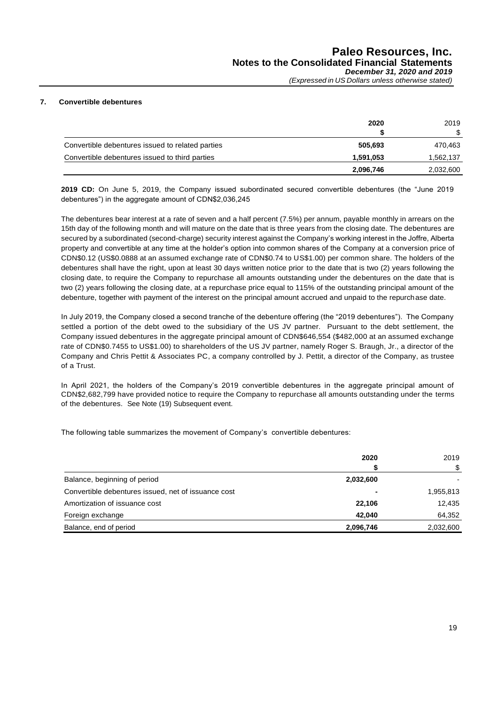#### **7. Convertible debentures**

|                                                  | 2020      | 2019<br>\$ |
|--------------------------------------------------|-----------|------------|
| Convertible debentures issued to related parties | 505,693   | 470,463    |
| Convertible debentures issued to third parties   | 1,591,053 | 1,562,137  |
|                                                  | 2,096,746 | 2,032,600  |

**2019 CD:** On June 5, 2019, the Company issued subordinated secured convertible debentures (the "June 2019 debentures") in the aggregate amount of CDN\$2,036,245

The debentures bear interest at a rate of seven and a half percent (7.5%) per annum, payable monthly in arrears on the 15th day of the following month and will mature on the date that is three years from the closing date. The debentures are secured by a subordinated (second-charge) security interest against the Company's working interest in the Joffre, Alberta property and convertible at any time at the holder's option into common shares of the Company at a conversion price of CDN\$0.12 (US\$0.0888 at an assumed exchange rate of CDN\$0.74 to US\$1.00) per common share. The holders of the debentures shall have the right, upon at least 30 days written notice prior to the date that is two (2) years following the closing date, to require the Company to repurchase all amounts outstanding under the debentures on the date that is two (2) years following the closing date, at a repurchase price equal to 115% of the outstanding principal amount of the debenture, together with payment of the interest on the principal amount accrued and unpaid to the repurchase date.

In July 2019, the Company closed a second tranche of the debenture offering (the "2019 debentures"). The Company settled a portion of the debt owed to the subsidiary of the US JV partner. Pursuant to the debt settlement, the Company issued debentures in the aggregate principal amount of CDN\$646,554 (\$482,000 at an assumed exchange rate of CDN\$0.7455 to US\$1.00) to shareholders of the US JV partner, namely Roger S. Braugh, Jr., a director of the Company and Chris Pettit & Associates PC, a company controlled by J. Pettit, a director of the Company, as trustee of a Trust.

In April 2021, the holders of the Company's 2019 convertible debentures in the aggregate principal amount of CDN\$2,682,799 have provided notice to require the Company to repurchase all amounts outstanding under the terms of the debentures. See Note (19) Subsequent event.

The following table summarizes the movement of Company's convertible debentures:

|                                                     | 2020      | 2019      |
|-----------------------------------------------------|-----------|-----------|
|                                                     |           | \$        |
| Balance, beginning of period                        | 2,032,600 |           |
| Convertible debentures issued, net of issuance cost |           | 1,955,813 |
| Amortization of issuance cost                       | 22,106    | 12,435    |
| Foreign exchange                                    | 42,040    | 64,352    |
| Balance, end of period                              | 2,096,746 | 2,032,600 |
|                                                     |           |           |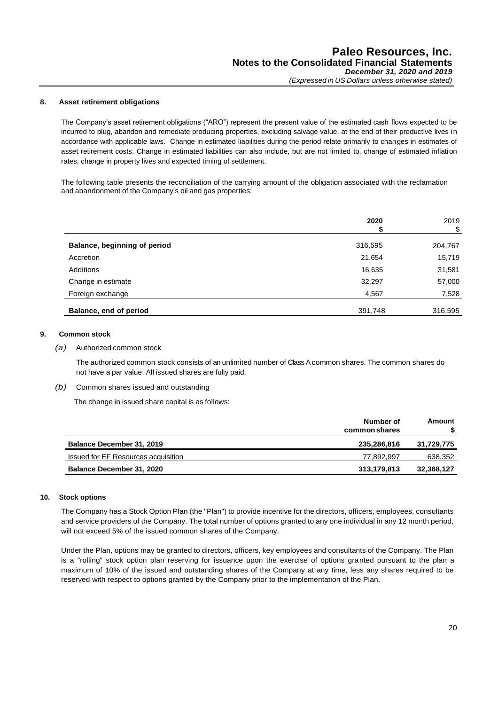#### **8. Asset retirement obligations**

The Company's asset retirement obligations ("ARO") represent the present value of the estimated cash flows expected to be incurred to plug, abandon and remediate producing properties, excluding salvage value, at the end of their productive lives in accordance with applicable laws. Change in estimated liabilities during the period relate primarily to changes in estimates of asset retirement costs. Change in estimated liabilities can also include, but are not limited to, change of estimated inflation rates, change in property lives and expected timing of settlement.

The following table presents the reconciliation of the carrying amount of the obligation associated with the reclamation and abandonment of the Company's oil and gas properties:

|                              | 2020    | 2019<br>\$ |
|------------------------------|---------|------------|
| Balance, beginning of period | 316,595 | 204,767    |
| Accretion                    | 21,654  | 15,719     |
| Additions                    | 16,635  | 31,581     |
| Change in estimate           | 32,297  | 57,000     |
| Foreign exchange             | 4,567   | 7,528      |
| Balance, end of period       | 391,748 | 316,595    |

# **9. Common stock**

*(a)* Authorized common stock

The authorized common stock consists of an unlimited number of Class A common shares. The common shares do not have a par value. All issued shares are fully paid.

*(b)* Common shares issued and outstanding

The change in issued share capital is as follows:

|                                     | Number of<br>common shares | Amount<br>S. |
|-------------------------------------|----------------------------|--------------|
| Balance December 31, 2019           | 235,286,816                | 31,729,775   |
| Issued for EF Resources acquisition | 77.892.997                 | 638,352      |
| <b>Balance December 31, 2020</b>    | 313,179,813                | 32,368,127   |

#### **10. Stock options**

The Company has a Stock Option Plan (the "Plan") to provide incentive for the directors, officers, employees, consultants and service providers of the Company. The total number of options granted to any one individual in any 12 month period, will not exceed 5% of the issued common shares of the Company.

Under the Plan, options may be granted to directors, officers, key employees and consultants of the Company. The Plan is a "rolling" stock option plan reserving for issuance upon the exercise of options granted pursuant to the plan a maximum of 10% of the issued and outstanding shares of the Company at any time, less any shares required to be reserved with respect to options granted by the Company prior to the implementation of the Plan.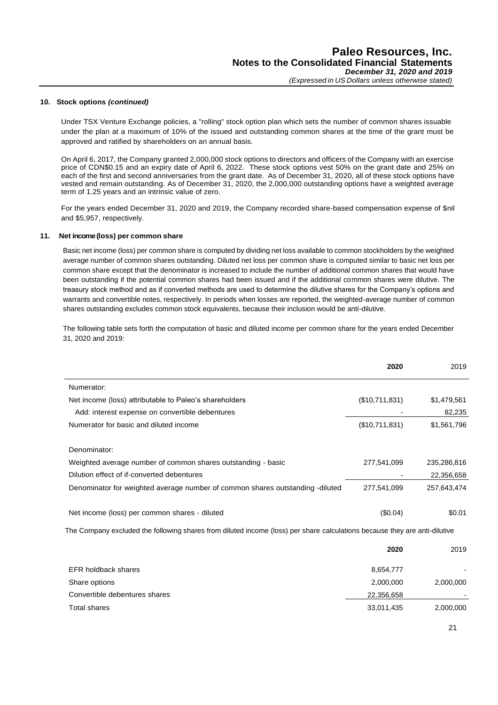#### **10. Stock options** *(continued)*

Under TSX Venture Exchange policies, a "rolling" stock option plan which sets the number of common shares issuable under the plan at a maximum of 10% of the issued and outstanding common shares at the time of the grant must be approved and ratified by shareholders on an annual basis.

On April 6, 2017, the Company granted 2,000,000 stock options to directors and officers of the Company with an exercise price of CDN\$0.15 and an expiry date of April 6, 2022. These stock options vest 50% on the grant date and 25% on each of the first and second anniversaries from the grant date. As of December 31, 2020, all of these stock options have vested and remain outstanding. As of December 31, 2020, the 2,000,000 outstanding options have a weighted average term of 1.25 years and an intrinsic value of zero.

For the years ended December 31, 2020 and 2019, the Company recorded share-based compensation expense of \$nil and \$5,957, respectively.

#### **11. Net income (loss) per common share**

Basic net income (loss) per common share is computed by dividing net loss available to common stockholders by the weighted average number of common shares outstanding. Diluted net loss per common share is computed similar to basic net loss per common share except that the denominator is increased to include the number of additional common shares that would have been outstanding if the potential common shares had been issued and if the additional common shares were dilutive. The treasury stock method and as if converted methods are used to determine the dilutive shares for the Company's options and warrants and convertible notes, respectively. In periods when losses are reported, the weighted-average number of common shares outstanding excludes common stock equivalents, because their inclusion would be anti-dilutive.

The following table sets forth the computation of basic and diluted income per common share for the years ended December 31, 2020 and 2019:

|                                                                               | 2020           | 2019        |
|-------------------------------------------------------------------------------|----------------|-------------|
| Numerator:                                                                    |                |             |
| Net income (loss) attributable to Paleo's shareholders                        | (\$10,711,831) | \$1,479,561 |
| Add: interest expense on convertible debentures                               |                | 82,235      |
| Numerator for basic and diluted income                                        | (\$10,711,831) | \$1,561,796 |
| Denominator:                                                                  |                |             |
| Weighted average number of common shares outstanding - basic                  | 277,541,099    | 235,286,816 |
| Dilution effect of if-converted debentures                                    |                | 22,356,658  |
| Denominator for weighted average number of common shares outstanding -diluted | 277,541,099    | 257,643,474 |
| Net income (loss) per common shares - diluted                                 | (\$0.04)       | \$0.01      |

The Company excluded the following shares from diluted income (loss) per share calculations because they are anti-dilutive

|                               | 2020       | 2019                     |
|-------------------------------|------------|--------------------------|
| <b>EFR holdback shares</b>    | 8,654,777  | $\blacksquare$           |
| Share options                 | 2,000,000  | 2,000,000                |
| Convertible debentures shares | 22,356,658 | $\overline{\phantom{0}}$ |
| Total shares                  | 33,011,435 | 2,000,000                |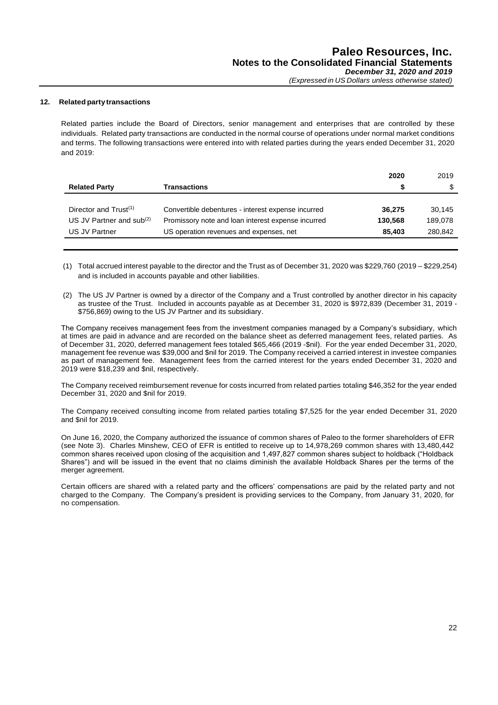#### **12. Related party transactions**

Related parties include the Board of Directors, senior management and enterprises that are controlled by these individuals. Related party transactions are conducted in the normal course of operations under normal market conditions and terms. The following transactions were entered into with related parties during the years ended December 31, 2020 and 2019:

|                                   |                                                    | 2020    | 2019    |
|-----------------------------------|----------------------------------------------------|---------|---------|
| <b>Related Party</b>              | Transactions                                       |         |         |
|                                   |                                                    |         |         |
| Director and Trust <sup>(1)</sup> | Convertible debentures - interest expense incurred | 36.275  | 30,145  |
| US JV Partner and sub $(2)$       | Promissory note and loan interest expense incurred | 130,568 | 189.078 |
| US JV Partner                     | US operation revenues and expenses, net            | 85.403  | 280.842 |
|                                   |                                                    |         |         |

- (1) Total accrued interest payable to the director and the Trust as of December 31, 2020 was \$229,760 (2019 \$229,254) and is included in accounts payable and other liabilities.
- (2) The US JV Partner is owned by a director of the Company and a Trust controlled by another director in his capacity as trustee of the Trust. Included in accounts payable as at December 31, 2020 is \$972,839 (December 31, 2019 - \$756,869) owing to the US JV Partner and its subsidiary.

The Company receives management fees from the investment companies managed by a Company's subsidiary, which at times are paid in advance and are recorded on the balance sheet as deferred management fees, related parties. As of December 31, 2020, deferred management fees totaled \$65,466 (2019 -\$nil). For the year ended December 31, 2020, management fee revenue was \$39,000 and \$nil for 2019. The Company received a carried interest in investee companies as part of management fee. Management fees from the carried interest for the years ended December 31, 2020 and 2019 were \$18,239 and \$nil, respectively.

The Company received reimbursement revenue for costs incurred from related parties totaling \$46,352 for the year ended December 31, 2020 and \$nil for 2019.

The Company received consulting income from related parties totaling \$7,525 for the year ended December 31, 2020 and \$nil for 2019.

On June 16, 2020, the Company authorized the issuance of common shares of Paleo to the former shareholders of EFR (see Note 3). Charles Minshew, CEO of EFR is entitled to receive up to 14,978,269 common shares with 13,480,442 common shares received upon closing of the acquisition and 1,497,827 common shares subject to holdback ("Holdback Shares") and will be issued in the event that no claims diminish the available Holdback Shares per the terms of the merger agreement.

Certain officers are shared with a related party and the officers' compensations are paid by the related party and not charged to the Company. The Company's president is providing services to the Company, from January 31, 2020, for no compensation.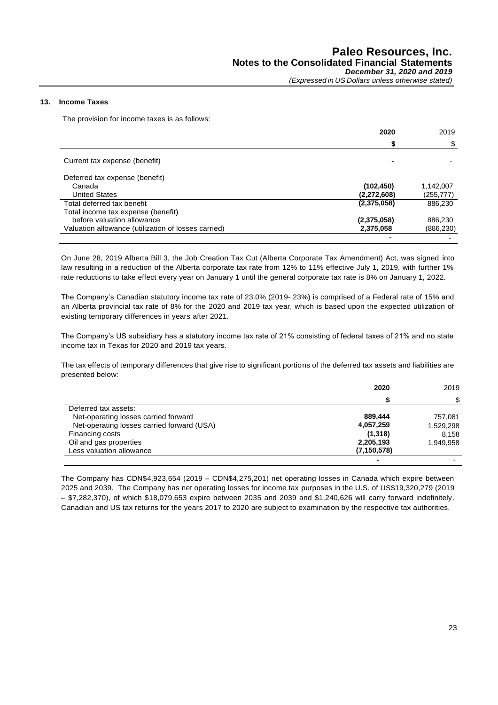**-**

#### **13. Income Taxes**

The provision for income taxes is as follows:

|                                                     | 2020        | 2019       |
|-----------------------------------------------------|-------------|------------|
|                                                     | S           | \$         |
| Current tax expense (benefit)                       | ۰           |            |
| Deferred tax expense (benefit)                      |             |            |
| Canada                                              | (102, 450)  | 1,142,007  |
| <b>United States</b>                                | (2,272,608) | (255, 777) |
| Total deferred tax benefit                          | (2,375,058) | 886,230    |
| Total income tax expense (benefit)                  |             |            |
| before valuation allowance                          | (2,375,058) | 886,230    |
| Valuation allowance (utilization of losses carried) | 2,375,058   | (886,230)  |
|                                                     |             |            |

On June 28, 2019 Alberta Bill 3, the Job Creation Tax Cut (Alberta Corporate Tax Amendment) Act, was signed into law resulting in a reduction of the Alberta corporate tax rate from 12% to 11% effective July 1, 2019, with further 1% rate reductions to take effect every year on January 1 until the general corporate tax rate is 8% on January 1, 2022.

The Company's Canadian statutory income tax rate of 23.0% (2019- 23%) is comprised of a Federal rate of 15% and an Alberta provincial tax rate of 8% for the 2020 and 2019 tax year, which is based upon the expected utilization of existing temporary differences in years after 2021.

The Company's US subsidiary has a statutory income tax rate of 21% consisting of federal taxes of 21% and no state income tax in Texas for 2020 and 2019 tax years.

The tax effects of temporary differences that give rise to significant portions of the deferred tax assets and liabilities are presented below:

|                                            | 2020          | 2019      |
|--------------------------------------------|---------------|-----------|
|                                            |               | \$        |
| Deferred tax assets:                       |               |           |
| Net-operating losses carried forward       | 889.444       | 757.081   |
| Net-operating losses carried forward (USA) | 4,057,259     | 1,529,298 |
| Financing costs                            | (1,318)       | 8.158     |
| Oil and gas properties                     | 2,205,193     | 1.949.958 |
| Less valuation allowance                   | (7, 150, 578) |           |
|                                            | ۰             |           |

The Company has CDN\$4,923,654 (2019 – CDN\$4,275,201) net operating losses in Canada which expire between 2025 and 2039. The Company has net operating losses for income tax purposes in the U.S. of US\$19,320,279 (2019 – \$7,282,370), of which \$18,079,653 expire between 2035 and 2039 and \$1,240,626 will carry forward indefinitely. Canadian and US tax returns for the years 2017 to 2020 are subject to examination by the respective tax authorities.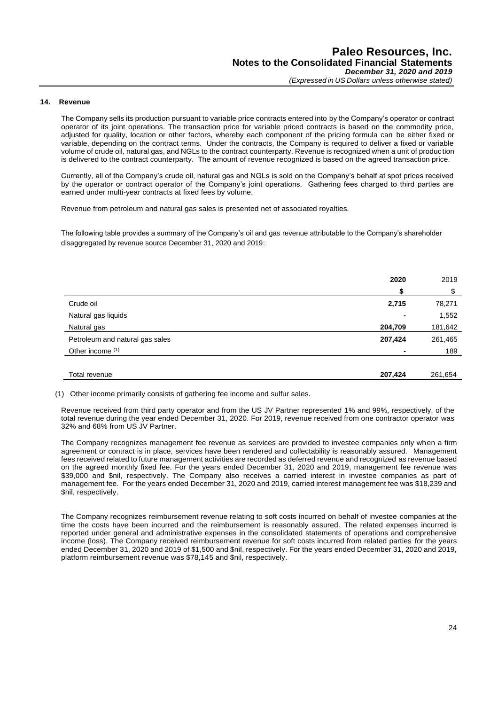#### **14. Revenue**

The Company sells its production pursuant to variable price contracts entered into by the Company's operator or contract operator of its joint operations. The transaction price for variable priced contracts is based on the commodity price, adjusted for quality, location or other factors, whereby each component of the pricing formula can be either fixed or variable, depending on the contract terms. Under the contracts, the Company is required to deliver a fixed or variable volume of crude oil, natural gas, and NGLs to the contract counterparty. Revenue is recognized when a unit of production is delivered to the contract counterparty. The amount of revenue recognized is based on the agreed transaction price.

Currently, all of the Company's crude oil, natural gas and NGLs is sold on the Company's behalf at spot prices received by the operator or contract operator of the Company's joint operations. Gathering fees charged to third parties are earned under multi-year contracts at fixed fees by volume.

Revenue from petroleum and natural gas sales is presented net of associated royalties.

The following table provides a summary of the Company's oil and gas revenue attributable to the Company's shareholder disaggregated by revenue source December 31, 2020 and 2019:

|                                 | 2020    | 2019    |
|---------------------------------|---------|---------|
|                                 | S       | \$      |
| Crude oil                       | 2,715   | 78,271  |
| Natural gas liquids             | ۰       | 1,552   |
| Natural gas                     | 204,709 | 181,642 |
| Petroleum and natural gas sales | 207,424 | 261,465 |
| Other income (1)                |         | 189     |
|                                 |         |         |
| Total revenue                   | 207,424 | 261,654 |

(1) Other income primarily consists of gathering fee income and sulfur sales.

Revenue received from third party operator and from the US JV Partner represented 1% and 99%, respectively, of the total revenue during the year ended December 31, 2020. For 2019, revenue received from one contractor operator was 32% and 68% from US JV Partner.

The Company recognizes management fee revenue as services are provided to investee companies only when a firm agreement or contract is in place, services have been rendered and collectability is reasonably assured. Management fees received related to future management activities are recorded as deferred revenue and recognized as revenue based on the agreed monthly fixed fee. For the years ended December 31, 2020 and 2019, management fee revenue was \$39,000 and \$nil, respectively. The Company also receives a carried interest in investee companies as part of management fee. For the years ended December 31, 2020 and 2019, carried interest management fee was \$18,239 and \$nil, respectively.

The Company recognizes reimbursement revenue relating to soft costs incurred on behalf of investee companies at the time the costs have been incurred and the reimbursement is reasonably assured. The related expenses incurred is reported under general and administrative expenses in the consolidated statements of operations and comprehensive income (loss). The Company received reimbursement revenue for soft costs incurred from related parties for the years ended December 31, 2020 and 2019 of \$1,500 and \$nil, respectively. For the years ended December 31, 2020 and 2019, platform reimbursement revenue was \$78,145 and \$nil, respectively.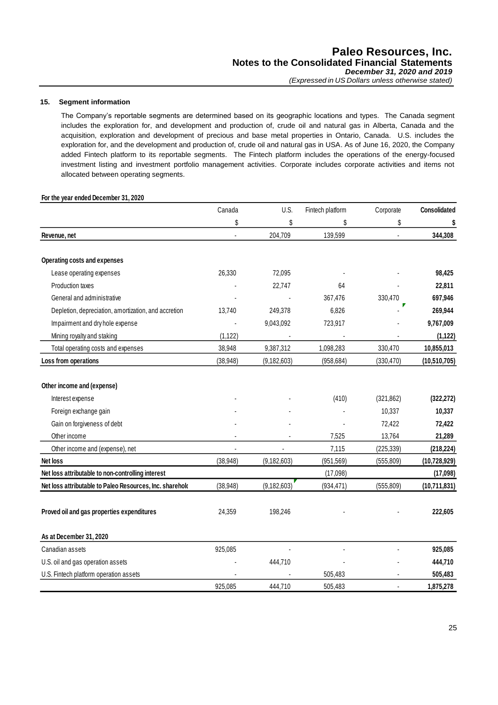# **15. Segment information**

The Company's reportable segments are determined based on its geographic locations and types. The Canada segment includes the exploration for, and development and production of, crude oil and natural gas in Alberta, Canada and the acquisition, exploration and development of precious and base metal properties in Ontario, Canada. U.S. includes the exploration for, and the development and production of, crude oil and natural gas in USA. As of June 16, 2020, the Company added Fintech platform to its reportable segments. The Fintech platform includes the operations of the energy-focused investment listing and investment portfolio management activities. Corporate includes corporate activities and items not allocated between operating segments.

# **For the year ended December 31, 2020**

|                                                          | Canada    | U.S.          | Fintech platform | Corporate  | Consolidated   |
|----------------------------------------------------------|-----------|---------------|------------------|------------|----------------|
|                                                          | \$        | \$            | \$               | \$         | \$             |
| Revenue, net                                             |           | 204,709       | 139,599          |            | 344,308        |
| Operating costs and expenses                             |           |               |                  |            |                |
| Lease operating expenses                                 | 26,330    | 72,095        |                  |            | 98,425         |
| Production taxes                                         |           | 22,747        | 64               |            | 22,811         |
| General and administrative                               |           |               | 367,476          | 330,470    | 697,946        |
| Depletion, depreciation, amortization, and accretion     | 13,740    | 249,378       | 6,826            |            | 269,944        |
| Impairment and dry hole expense                          |           | 9,043,092     | 723,917          |            | 9,767,009      |
| Mining royalty and staking                               | (1, 122)  |               |                  |            | (1, 122)       |
| Total operating costs and expenses                       | 38,948    | 9,387,312     | 1,098,283        | 330,470    | 10,855,013     |
| Loss from operations                                     | (38, 948) | (9, 182, 603) | (958, 684)       | (330, 470) | (10, 510, 705) |
| Other income and (expense)                               |           |               |                  |            |                |
| Interest expense                                         |           |               | (410)            | (321, 862) | (322, 272)     |
| Foreign exchange gain                                    |           |               |                  | 10,337     | 10,337         |
| Gain on forgiveness of debt                              |           |               |                  | 72,422     | 72,422         |
| Other income                                             |           |               | 7,525            | 13,764     | 21,289         |
| Other income and (expense), net                          |           |               | 7,115            | (225, 339) | (218, 224)     |
| <b>Net loss</b>                                          | (38, 948) | (9, 182, 603) | (951, 569)       | (555, 809) | (10, 728, 929) |
| Net loss attributable to non-controlling interest        |           |               | (17,098)         |            | (17,098)       |
| Net loss attributable to Paleo Resources, Inc. sharehold | (38, 948) | (9, 182, 603) | (934, 471)       | (555, 809) | (10, 711, 831) |
| Proved oil and gas properties expenditures               | 24,359    | 198,246       |                  |            | 222,605        |
| As at December 31, 2020                                  |           |               |                  |            |                |
| Canadian assets                                          | 925,085   |               |                  |            | 925,085        |
| U.S. oil and gas operation assets                        |           | 444,710       |                  |            | 444,710        |
| U.S. Fintech platform operation assets                   |           |               | 505,483          |            | 505,483        |
|                                                          | 925,085   | 444.710       | 505,483          |            | 1,875,278      |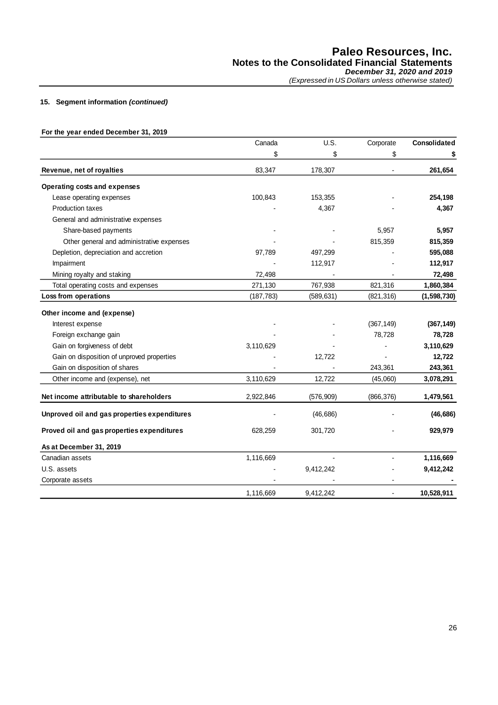# **15. Segment information** *(continued)*

**For the year ended December 31, 2019**

|                                              | Canada     | U.S.       | Corporate  | Consolidated |
|----------------------------------------------|------------|------------|------------|--------------|
|                                              | \$         | \$         | \$         |              |
| Revenue, net of royalties                    | 83,347     | 178,307    |            | 261,654      |
| Operating costs and expenses                 |            |            |            |              |
| Lease operating expenses                     | 100,843    | 153,355    |            | 254,198      |
| <b>Production taxes</b>                      |            | 4,367      |            | 4,367        |
| General and administrative expenses          |            |            |            |              |
| Share-based payments                         |            |            | 5,957      | 5,957        |
| Other general and administrative expenses    |            |            | 815,359    | 815,359      |
| Depletion, depreciation and accretion        | 97,789     | 497,299    |            | 595,088      |
| Impairment                                   |            | 112,917    |            | 112,917      |
| Mining royalty and staking                   | 72,498     |            |            | 72,498       |
| Total operating costs and expenses           | 271,130    | 767,938    | 821,316    | 1,860,384    |
| Loss from operations                         | (187, 783) | (589, 631) | (821, 316) | (1,598,730)  |
| Other income and (expense)                   |            |            |            |              |
| Interest expense                             |            |            | (367, 149) | (367, 149)   |
| Foreign exchange gain                        |            |            | 78,728     | 78,728       |
| Gain on forgiveness of debt                  | 3,110,629  |            |            | 3,110,629    |
| Gain on disposition of unproved properties   |            | 12,722     |            | 12,722       |
| Gain on disposition of shares                |            |            | 243,361    | 243,361      |
| Other income and (expense), net              | 3,110,629  | 12,722     | (45,060)   | 3,078,291    |
| Net income attributable to shareholders      | 2,922,846  | (576, 909) | (866, 376) | 1,479,561    |
| Unproved oil and gas properties expenditures |            | (46, 686)  |            | (46, 686)    |
| Proved oil and gas properties expenditures   | 628,259    | 301,720    |            | 929,979      |
| As at December 31, 2019                      |            |            |            |              |
| Canadian assets                              | 1,116,669  |            |            | 1,116,669    |
| U.S. assets                                  |            | 9,412,242  |            | 9,412,242    |
| Corporate assets                             |            |            |            |              |
|                                              | 1,116,669  | 9,412,242  |            | 10,528,911   |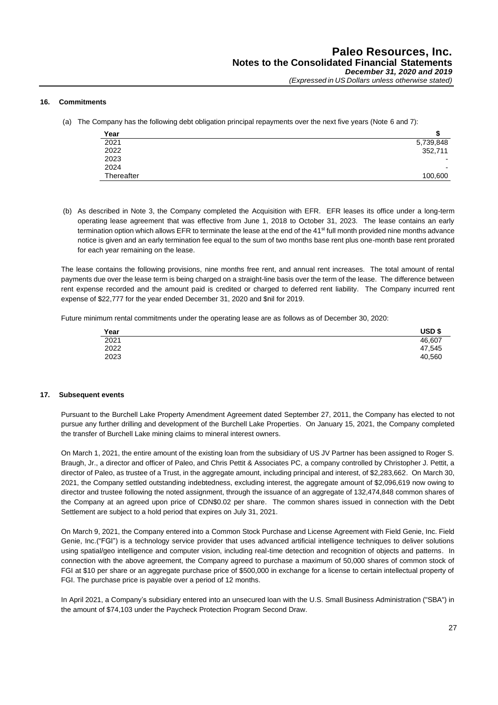#### **16. Commitments**

(a) The Company has the following debt obligation principal repayments over the next five years (Note 6 and 7):

| Year       |                          |
|------------|--------------------------|
| 2021       | 5,739,848                |
| 2022       | 352,711                  |
| 2023       | $\overline{\phantom{a}}$ |
| 2024       | $\overline{\phantom{a}}$ |
| Thereafter | 100,600                  |

(b) As described in Note 3, the Company completed the Acquisition with EFR. EFR leases its office under a long-term operating lease agreement that was effective from June 1, 2018 to October 31, 2023. The lease contains an early termination option which allows EFR to terminate the lease at the end of the  $41<sup>st</sup>$  full month provided nine months advance notice is given and an early termination fee equal to the sum of two months base rent plus one-month base rent prorated for each year remaining on the lease.

The lease contains the following provisions, nine months free rent, and annual rent increases. The total amount of rental payments due over the lease term is being charged on a straight-line basis over the term of the lease. The difference between rent expense recorded and the amount paid is credited or charged to deferred rent liability. The Company incurred rent expense of \$22,777 for the year ended December 31, 2020 and \$nil for 2019.

Future minimum rental commitments under the operating lease are as follows as of December 30, 2020:

| Year | USD <sub>\$</sub> |
|------|-------------------|
| 2021 | 46,607            |
| 2022 | 47,545            |
| 2023 | 40,560            |

#### **17. Subsequent events**

Pursuant to the Burchell Lake Property Amendment Agreement dated September 27, 2011, the Company has elected to not pursue any further drilling and development of the Burchell Lake Properties. On January 15, 2021, the Company completed the transfer of Burchell Lake mining claims to mineral interest owners.

On March 1, 2021, the entire amount of the existing loan from the subsidiary of US JV Partner has been assigned to Roger S. Braugh, Jr., a director and officer of Paleo, and Chris Pettit & Associates PC, a company controlled by Christopher J. Pettit, a director of Paleo, as trustee of a Trust, in the aggregate amount, including principal and interest, of \$2,283,662. On March 30, 2021, the Company settled outstanding indebtedness, excluding interest, the aggregate amount of \$2,096,619 now owing to director and trustee following the noted assignment, through the issuance of an aggregate of 132,474,848 common shares of the Company at an agreed upon price of CDN\$0.02 per share. The common shares issued in connection with the Debt Settlement are subject to a hold period that expires on July 31, 2021.

On March 9, 2021, the Company entered into a Common Stock Purchase and License Agreement with Field Genie, Inc. Field Genie, Inc.("FGI") is a technology service provider that uses advanced artificial intelligence techniques to deliver solutions using spatial/geo intelligence and computer vision, including real-time detection and recognition of objects and patterns. In connection with the above agreement, the Company agreed to purchase a maximum of 50,000 shares of common stock of FGI at \$10 per share or an aggregate purchase price of \$500,000 in exchange for a license to certain intellectual property of FGI. The purchase price is payable over a period of 12 months.

In April 2021, a Company's subsidiary entered into an unsecured loan with the U.S. Small Business Administration ("SBA") in the amount of \$74,103 under the Paycheck Protection Program Second Draw.